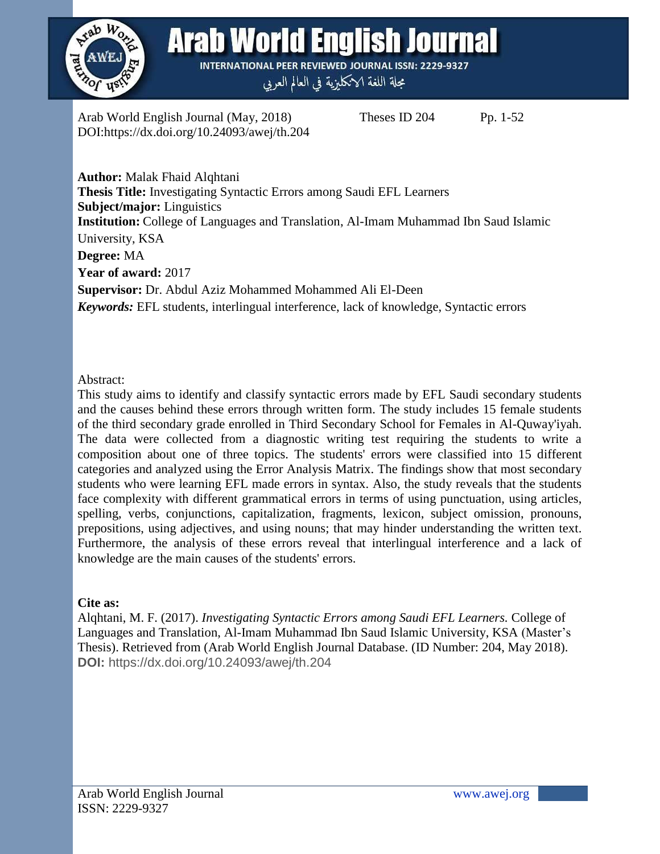

Arab World English Journal (May, 2018) Theses ID 204 Pp. 1-52 DOI:https://dx.doi.org/10.24093/awej/th.204

**Author:** Malak Fhaid Alqhtani **Thesis Title:** Investigating Syntactic Errors among Saudi EFL Learners **Subject/major:** Linguistics **Institution:** College of Languages and Translation, Al-Imam Muhammad Ibn Saud Islamic University, KSA **Degree:** MA **Year of award:** 2017 **Supervisor:** Dr. Abdul Aziz Mohammed Mohammed Ali El-Deen *Keywords:* EFL students, interlingual interference, lack of knowledge, Syntactic errors

#### Abstract:

This study aims to identify and classify syntactic errors made by EFL Saudi secondary students and the causes behind these errors through written form. The study includes 15 female students of the third secondary grade enrolled in Third Secondary School for Females in Al-Quway'iyah. The data were collected from a diagnostic writing test requiring the students to write a composition about one of three topics. The students' errors were classified into 15 different categories and analyzed using the Error Analysis Matrix. The findings show that most secondary students who were learning EFL made errors in syntax. Also, the study reveals that the students face complexity with different grammatical errors in terms of using punctuation, using articles, spelling, verbs, conjunctions, capitalization, fragments, lexicon, subject omission, pronouns, prepositions, using adjectives, and using nouns; that may hinder understanding the written text. Furthermore, the analysis of these errors reveal that interlingual interference and a lack of knowledge are the main causes of the students' errors.

### **Cite as:**

Alqhtani, M. F. (2017). *Investigating Syntactic Errors among Saudi EFL Learners.* College of Languages and Translation, Al-Imam Muhammad Ibn Saud Islamic University, KSA (Master's Thesis). Retrieved from (Arab World English Journal Database. (ID Number: 204, May 2018). **DOI:** https://dx.doi.org/10.24093/awej/th.204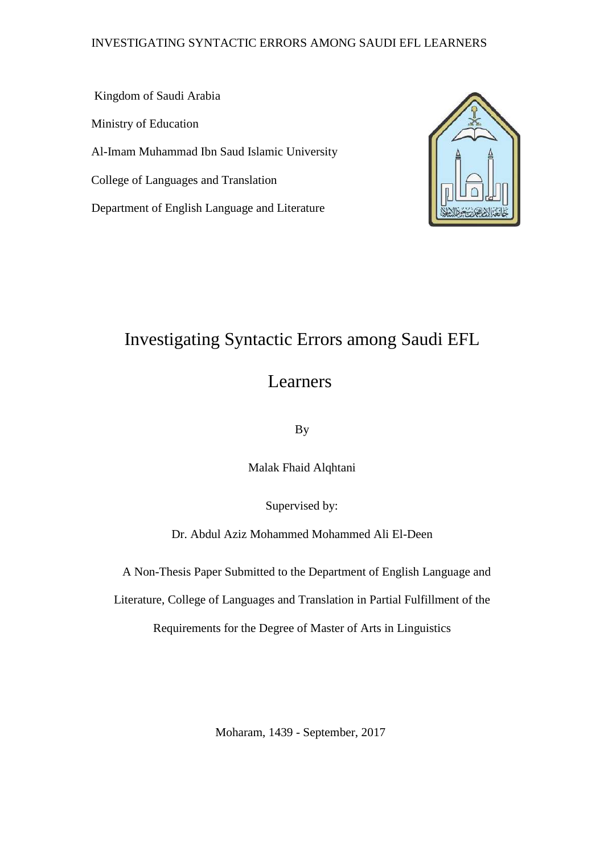### INVESTIGATING SYNTACTIC ERRORS AMONG SAUDI EFL LEARNERS

Kingdom of Saudi Arabia Ministry of Education Al-Imam Muhammad Ibn Saud Islamic University College of Languages and Translation Department of English Language and Literature



# Investigating Syntactic Errors among Saudi EFL

## Learners

By

Malak Fhaid Alqhtani

Supervised by:

Dr. Abdul Aziz Mohammed Mohammed Ali El-Deen

A Non-Thesis Paper Submitted to the Department of English Language and

Literature, College of Languages and Translation in Partial Fulfillment of the

Requirements for the Degree of Master of Arts in Linguistics

Moharam, 1439 - September, 2017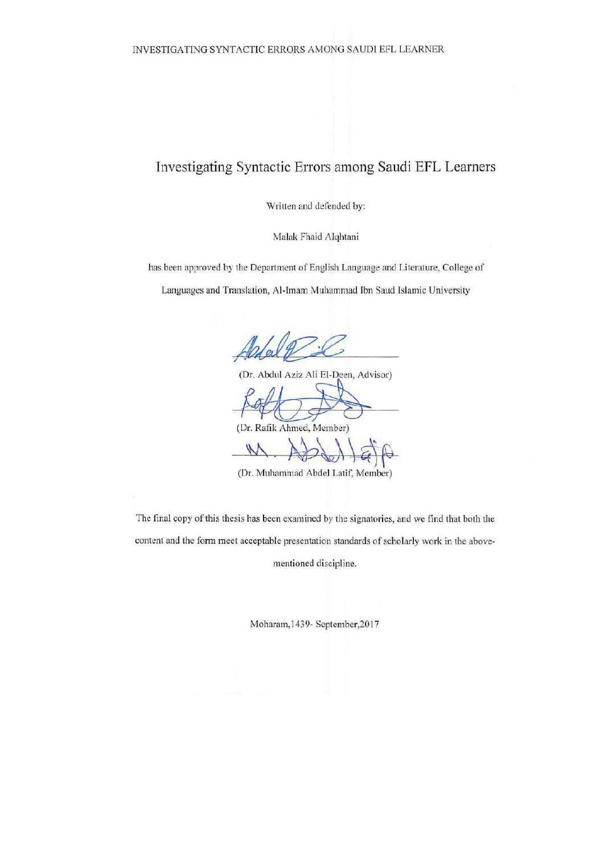## Investigating Syntactic Errors among Saudi EFL Learners

Written and defended by:

Malak Fhaid Alqhtani

has been approved by the Department of English Language and Literature, College of

Languages and Translation, Al-Imam Muhammad Ibn Saud Islamic University

 $N/L$ 

(Dr. Abdul Aziz Ali El-Deen, Advisor)  $\overbrace{\phantom{xx}1}$ (Dr. Rafik Ahmed, Member)

 $\mathcal{N}$  $\mathbb{E}[\mathbb{E}[\mathbb{E}[\mathbb{E}[\mathbb{E}[\mathbb{E}[\mathbb{E}[\mathbb{E}[\mathbb{E}[\mathbb{E}[\mathbb{E}[\mathbb{E}[\mathbb{E}[\mathbb{E}[\mathbb{E}[\mathbb{E}[\mathbb{E}[\mathbb{E}[\mathbb{E}[\mathbb{E}[\mathbb{E}[\mathbb{E}[\mathbb{E}[\mathbb{E}[\mathbb{E}[\mathbb{E}[\mathbb{E}[\mathbb{E}[\mathbb{E}[\mathbb{E}[\mathbb{E}[\mathbb{E}[\mathbb{E}[\mathbb{E}[\mathbb{E}[\mathbb{E}[\mathbb{$ 

The final copy of this thesis has been examined by the signatories, and we find that both the content and the form meet acceptable presentation standards of scholarly work in the above-

mentioned discipline.

mentioned discipline.

Moharam, 1439- September, 2017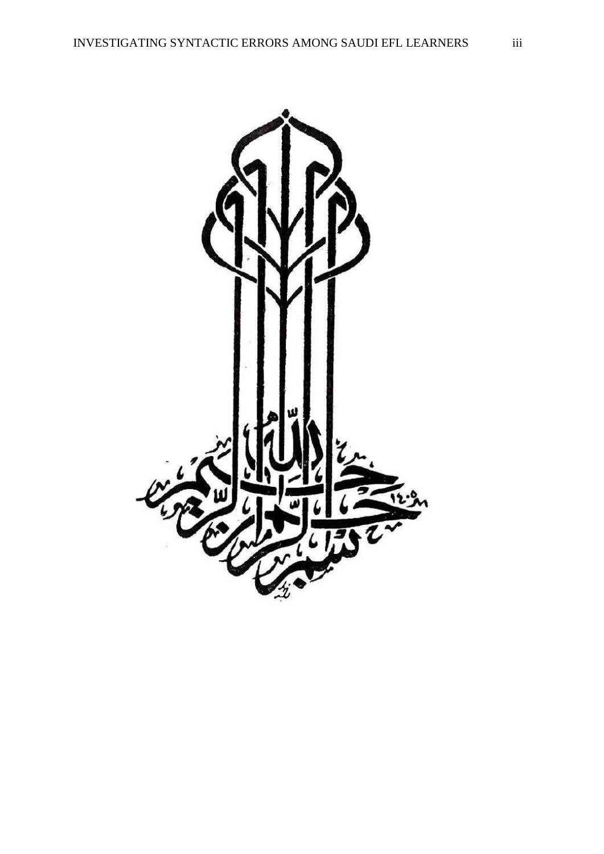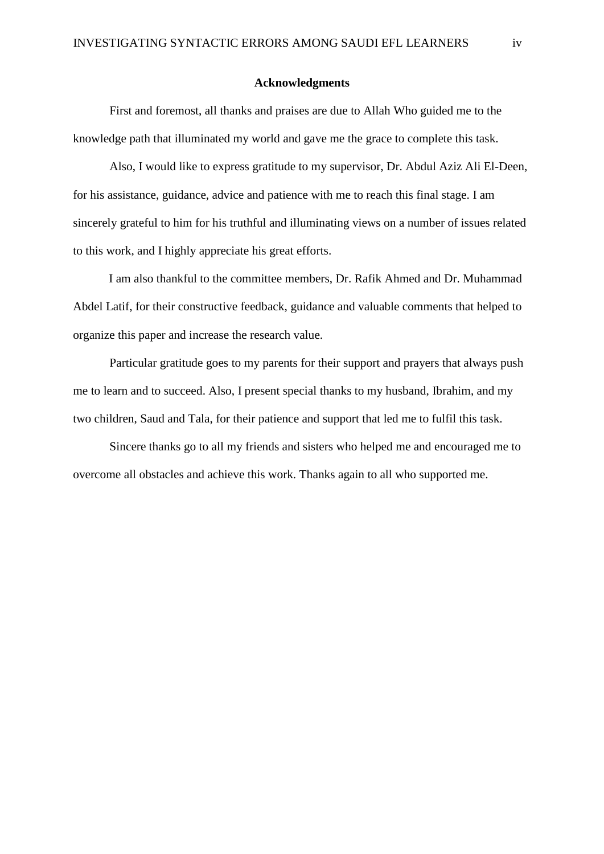#### **Acknowledgments**

First and foremost, all thanks and praises are due to Allah Who guided me to the knowledge path that illuminated my world and gave me the grace to complete this task.

Also, I would like to express gratitude to my supervisor, Dr. Abdul Aziz Ali El-Deen, for his assistance, guidance, advice and patience with me to reach this final stage. I am sincerely grateful to him for his truthful and illuminating views on a number of issues related to this work, and I highly appreciate his great efforts.

I am also thankful to the committee members, Dr. Rafik Ahmed and Dr. Muhammad Abdel Latif, for their constructive feedback, guidance and valuable comments that helped to organize this paper and increase the research value.

Particular gratitude goes to my parents for their support and prayers that always push me to learn and to succeed. Also, I present special thanks to my husband, Ibrahim, and my two children, Saud and Tala, for their patience and support that led me to fulfil this task.

Sincere thanks go to all my friends and sisters who helped me and encouraged me to overcome all obstacles and achieve this work. Thanks again to all who supported me.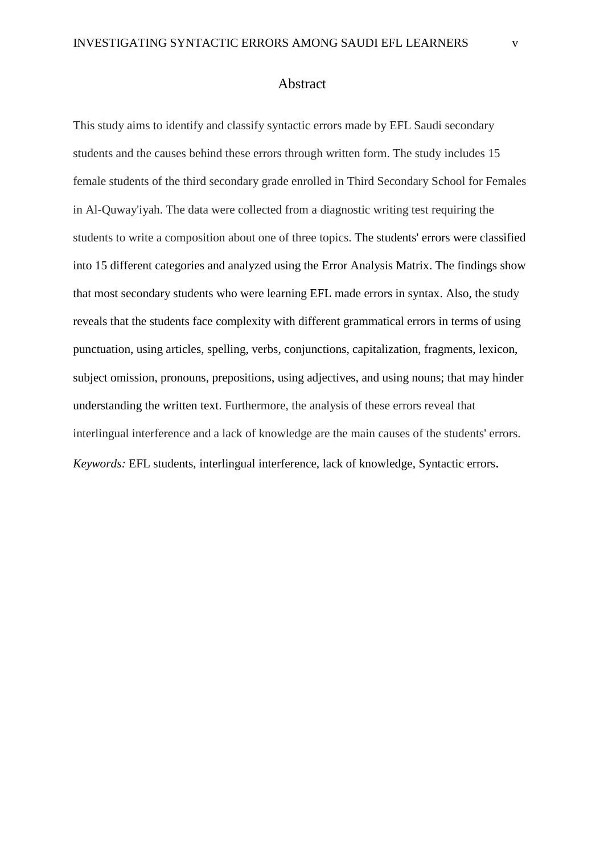This study aims to identify and classify syntactic errors made by EFL Saudi secondary students and the causes behind these errors through written form. The study includes 15 female students of the third secondary grade enrolled in Third Secondary School for Females in Al-Quway'iyah. The data were collected from a diagnostic writing test requiring the students to write a composition about one of three topics. The students' errors were classified into 15 different categories and analyzed using the Error Analysis Matrix. The findings show that most secondary students who were learning EFL made errors in syntax. Also, the study reveals that the students face complexity with different grammatical errors in terms of using punctuation, using articles, spelling, verbs, conjunctions, capitalization, fragments, lexicon, subject omission, pronouns, prepositions, using adjectives, and using nouns; that may hinder understanding the written text. Furthermore, the analysis of these errors reveal that interlingual interference and a lack of knowledge are the main causes of the students' errors. *Keywords:* EFL students, interlingual interference, lack of knowledge, Syntactic errors.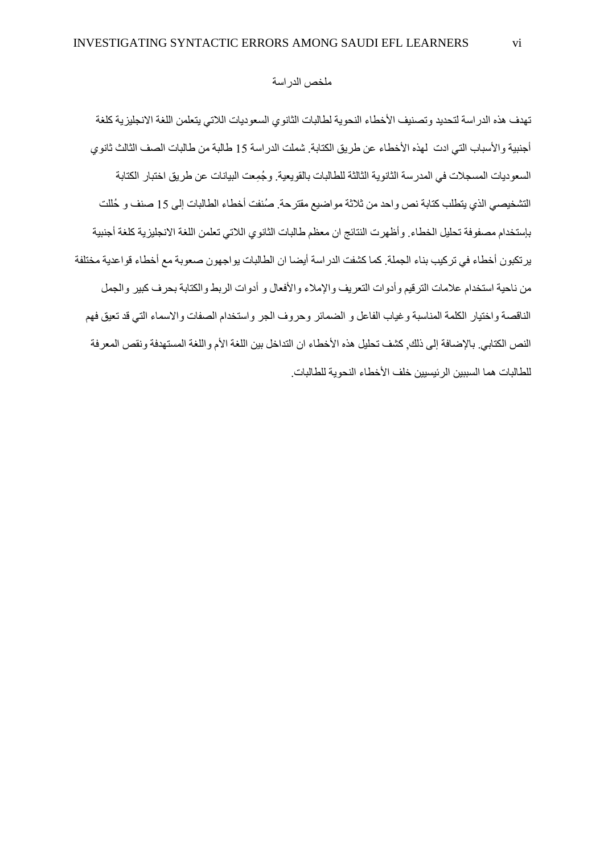#### ملخص الدراسة

تهدف هذه الدر اسة لتحديد وتصنيف الأخطاء النحوية لطالبات الثانوي السعوديات اللاتي يتعلمن اللغة الانجليز ية كلغة أجنبية والأسباب التي ادت لهذه الأخطاء عن طريق الكتابة. شملت الدراسة 15 طالبة من طالبات الصف الثالث ثانوي السعوديات المسجالت في المدرسة الثانوية الثالثة للطالبات بالقويعية. و ُج ِمعت البيانات عن طريق اختبار الكتابة التشخيصي الذي يتطلب كتابة نص واحد من ثالثة مواضيع مقترحة. صُنفت أخطاء الطالبات إلى 51 صنف و حُللت بإستخدام مصفوفة تحليل الخطاء. وأظهرت النتائج ان معظم طالبات الثانوي الالتي تعلمن اللغة االنجليزية كلغة أجنبية يرتكبون أخطاء في تركيب بناء الجملة. كما كشفت الدراسة أيضا ان الطالبات يواجهون صعوبة مع أخطاء قواعدية مختلفة من ناحية استخدام علامات الترقيم وأدوات التعريف والإملاء والأفعال و أدوات الربط والكتابة بحرف كبير والجمل الناقصة واختيار الكلمة المناسبة وغياب الفاعل و الضمائر وحروف الجر واستخدام الصفات واالسماء التي قد تعيق فهم النص الكتابي. بالإضافة إلى ذلك, كشف تحليل هذه الأخطاء ان التداخل بين اللغة الأم واللغة المستهدفة ونقص المعرفة للطالبات هما السببين الر ئبسبين خلف الأخطاء النحوية للطالبات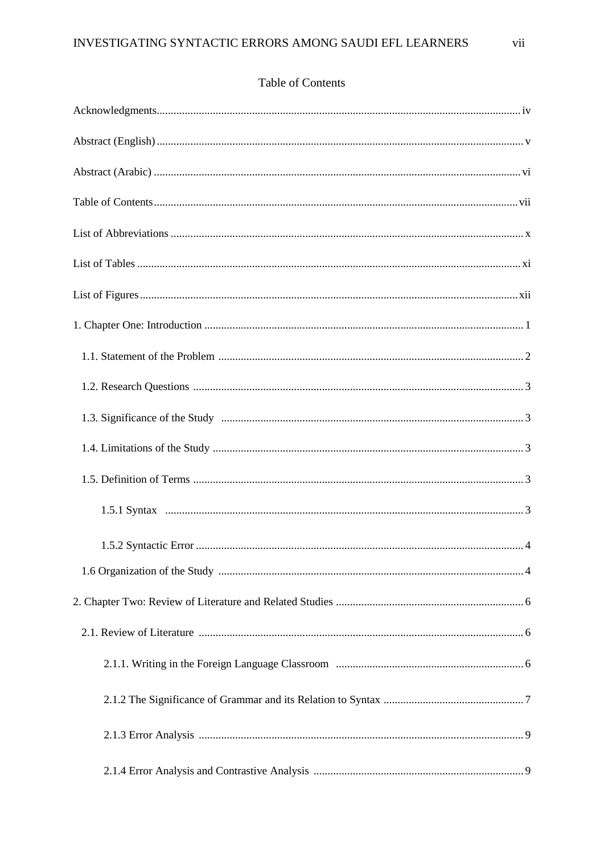## Table of Contents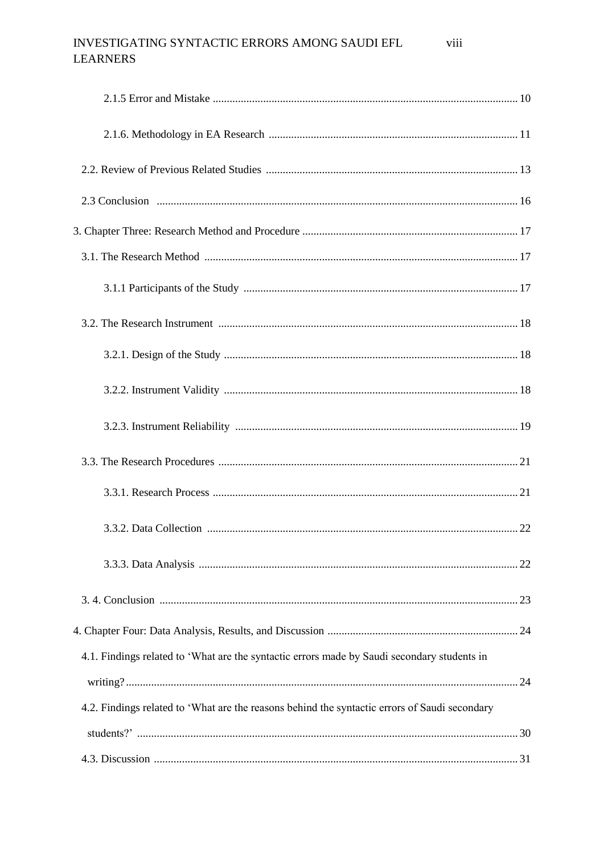#### INVESTIGATING SYNTACTIC ERRORS AMONG SAUDI EFL viii **LEARNERS**

| 4.1. Findings related to 'What are the syntactic errors made by Saudi secondary students in   |  |
|-----------------------------------------------------------------------------------------------|--|
|                                                                                               |  |
| 4.2. Findings related to 'What are the reasons behind the syntactic errors of Saudi secondary |  |
|                                                                                               |  |
|                                                                                               |  |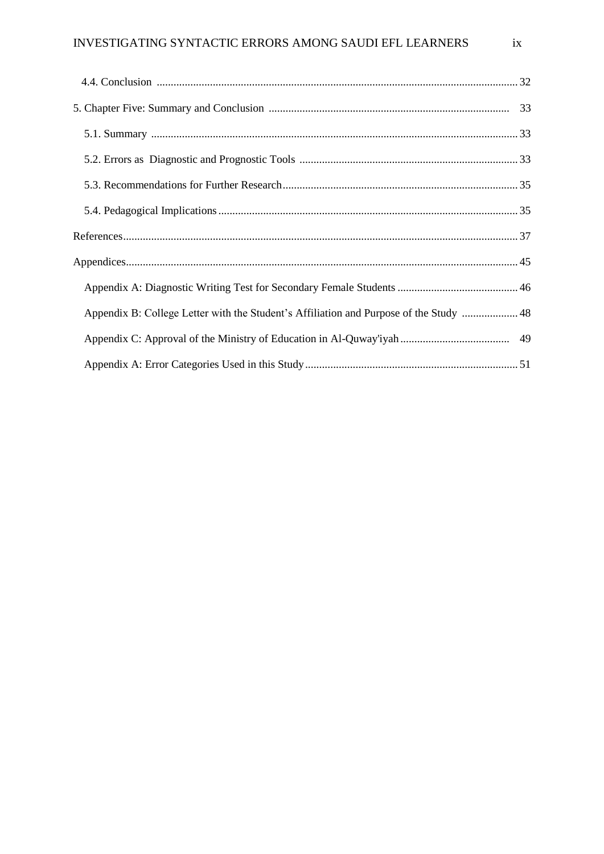| Appendix B: College Letter with the Student's Affiliation and Purpose of the Study  48 |  |
|----------------------------------------------------------------------------------------|--|
|                                                                                        |  |
|                                                                                        |  |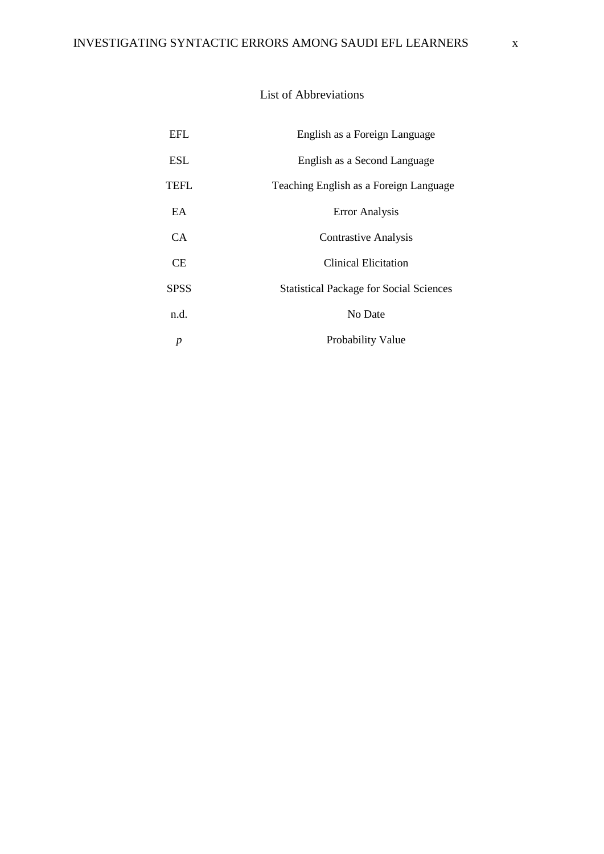### List of Abbreviations

| EFL         | English as a Foreign Language                  |
|-------------|------------------------------------------------|
| <b>ESL</b>  | English as a Second Language                   |
| TEFL        | Teaching English as a Foreign Language         |
| EA          | <b>Error Analysis</b>                          |
| CA.         | <b>Contrastive Analysis</b>                    |
| СE          | Clinical Elicitation                           |
| <b>SPSS</b> | <b>Statistical Package for Social Sciences</b> |
| n.d.        | No Date                                        |
|             | Probability Value                              |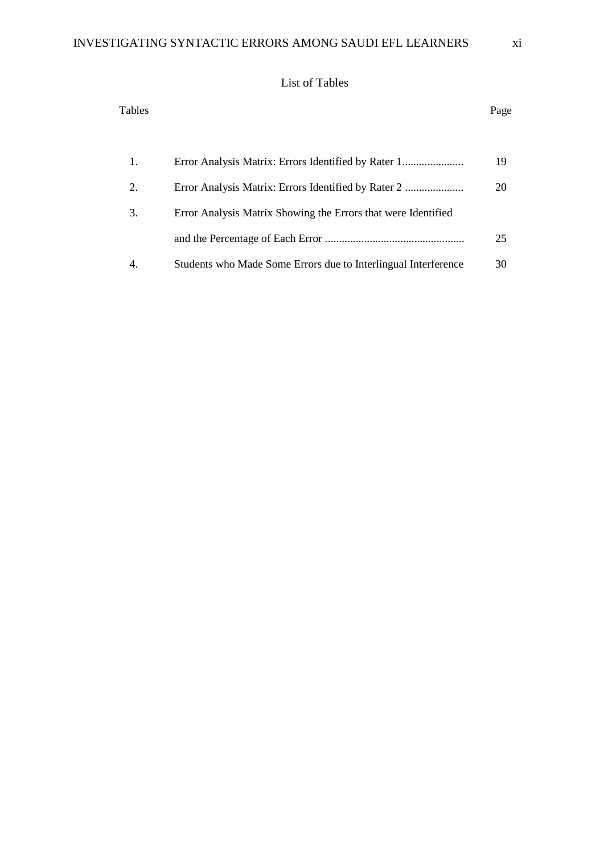## List of Tables

| Tables |                                                                | Page |
|--------|----------------------------------------------------------------|------|
| 1.     |                                                                | 19   |
| 2.     |                                                                | 20   |
| 3.     | Error Analysis Matrix Showing the Errors that were Identified  |      |
|        |                                                                | 25   |
| 4.     | Students who Made Some Errors due to Interlingual Interference | 30   |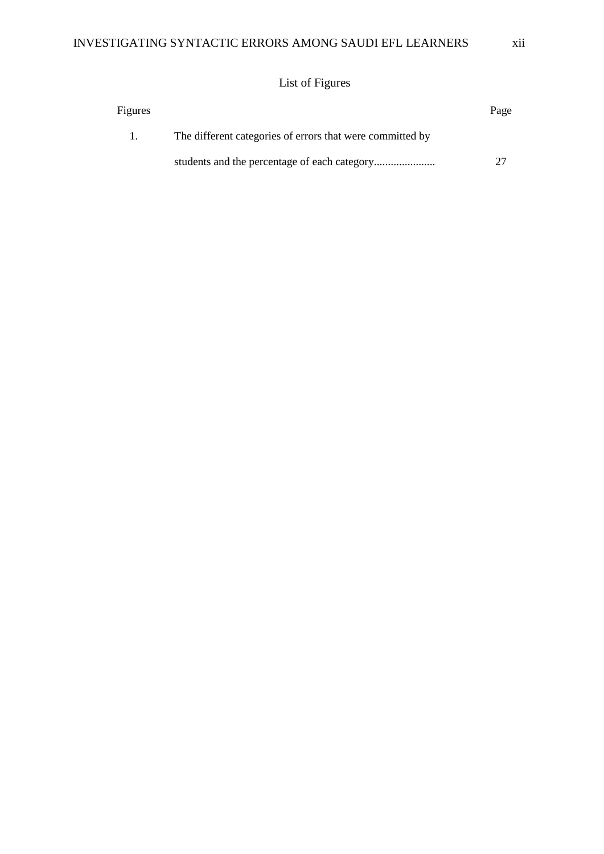## List of Figures

| Figures |                                                           | Page |
|---------|-----------------------------------------------------------|------|
| 1.      | The different categories of errors that were committed by |      |
|         |                                                           |      |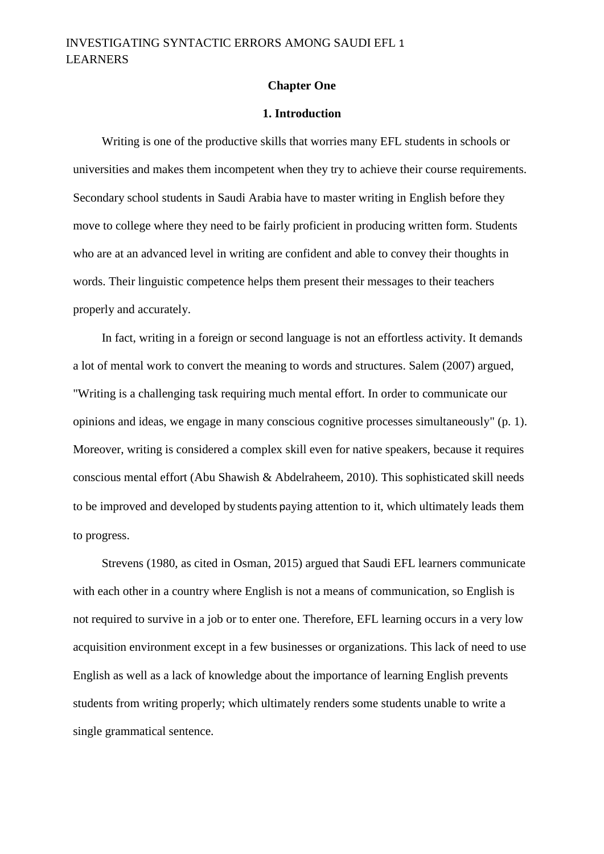#### **Chapter One**

#### **1. Introduction**

Writing is one of the productive skills that worries many EFL students in schools or universities and makes them incompetent when they try to achieve their course requirements. Secondary school students in Saudi Arabia have to master writing in English before they move to college where they need to be fairly proficient in producing written form. Students who are at an advanced level in writing are confident and able to convey their thoughts in words. Their linguistic competence helps them present their messages to their teachers properly and accurately.

In fact, writing in a foreign or second language is not an effortless activity. It demands a lot of mental work to convert the meaning to words and structures. Salem (2007) argued, "Writing is a challenging task requiring much mental effort. In order to communicate our opinions and ideas, we engage in many conscious cognitive processes simultaneously" (p. 1). Moreover, writing is considered a complex skill even for native speakers, because it requires conscious mental effort (Abu Shawish & Abdelraheem, 2010). This sophisticated skill needs to be improved and developed by students paying attention to it, which ultimately leads them to progress.

Strevens (1980, as cited in Osman, 2015) argued that Saudi EFL learners communicate with each other in a country where English is not a means of communication, so English is not required to survive in a job or to enter one. Therefore, EFL learning occurs in a very low acquisition environment except in a few businesses or organizations. This lack of need to use English as well as a lack of knowledge about the importance of learning English prevents students from writing properly; which ultimately renders some students unable to write a single grammatical sentence.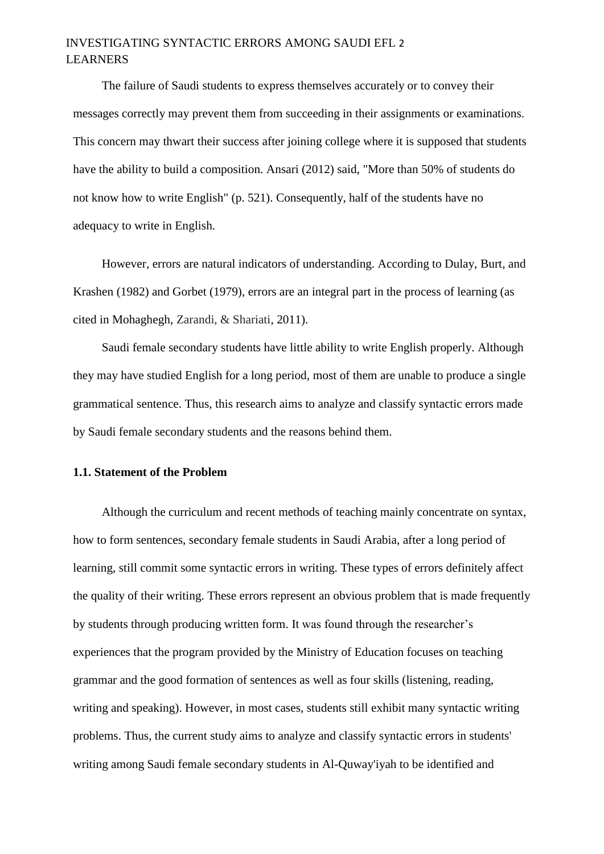## INVESTIGATING SYNTACTIC ERRORS AMONG SAUDI EFL 2 LEARNERS

The failure of Saudi students to express themselves accurately or to convey their messages correctly may prevent them from succeeding in their assignments or examinations. This concern may thwart their success after joining college where it is supposed that students have the ability to build a composition. Ansari (2012) said, "More than 50% of students do not know how to write English" (p. 521). Consequently, half of the students have no adequacy to write in English.

However, errors are natural indicators of understanding. According to Dulay, Burt, and Krashen (1982) and Gorbet (1979), errors are an integral part in the process of learning (as cited in Mohaghegh, Zarandi, & Shariati, 2011).

Saudi female secondary students have little ability to write English properly. Although they may have studied English for a long period, most of them are unable to produce a single grammatical sentence. Thus, this research aims to analyze and classify syntactic errors made by Saudi female secondary students and the reasons behind them.

#### **1.1. Statement of the Problem**

Although the curriculum and recent methods of teaching mainly concentrate on syntax, how to form sentences, secondary female students in Saudi Arabia, after a long period of learning, still commit some syntactic errors in writing. These types of errors definitely affect the quality of their writing. These errors represent an obvious problem that is made frequently by students through producing written form. It was found through the researcher's experiences that the program provided by the Ministry of Education focuses on teaching grammar and the good formation of sentences as well as four skills (listening, reading, writing and speaking). However, in most cases, students still exhibit many syntactic writing problems. Thus, the current study aims to analyze and classify syntactic errors in students' writing among Saudi female secondary students in Al-Quway'iyah to be identified and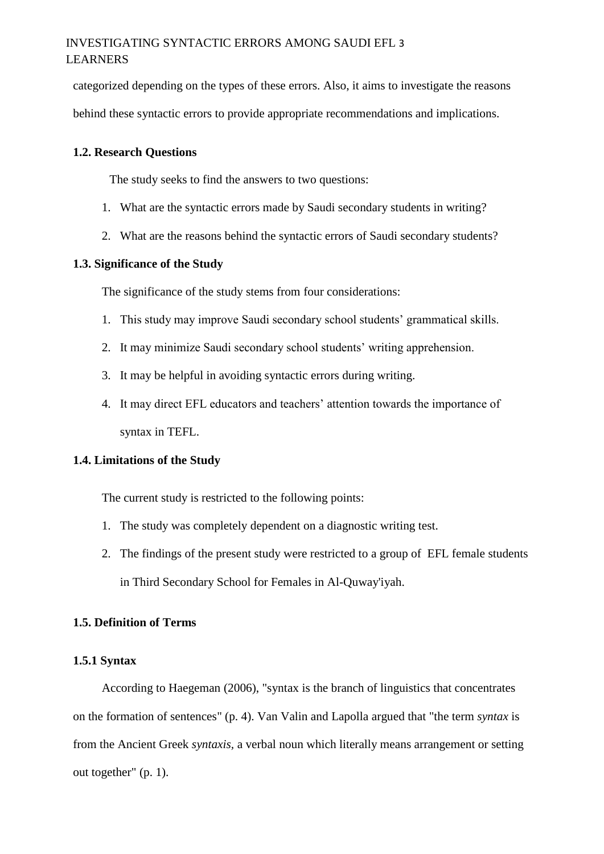categorized depending on the types of these errors. Also, it aims to investigate the reasons behind these syntactic errors to provide appropriate recommendations and implications.

#### **1.2. Research Questions**

The study seeks to find the answers to two questions:

- 1. What are the syntactic errors made by Saudi secondary students in writing?
- 2. What are the reasons behind the syntactic errors of Saudi secondary students?

#### **1.3. Significance of the Study**

The significance of the study stems from four considerations:

- 1. This study may improve Saudi secondary school students' grammatical skills.
- 2. It may minimize Saudi secondary school students' writing apprehension.
- 3. It may be helpful in avoiding syntactic errors during writing.
- 4. It may direct EFL educators and teachers' attention towards the importance of syntax in TEFL.

#### **1.4. Limitations of the Study**

The current study is restricted to the following points:

- 1. The study was completely dependent on a diagnostic writing test.
- 2. The findings of the present study were restricted to a group of EFL female students in Third Secondary School for Females in Al-Quway'iyah.

### **1.5. Definition of Terms**

#### **1.5.1 Syntax**

According to Haegeman (2006), "syntax is the branch of linguistics that concentrates on the formation of sentences" (p. 4). Van Valin and Lapolla argued that "the term *syntax* is from the Ancient Greek *syntaxis,* a verbal noun which literally means arrangement or setting out together" (p. 1).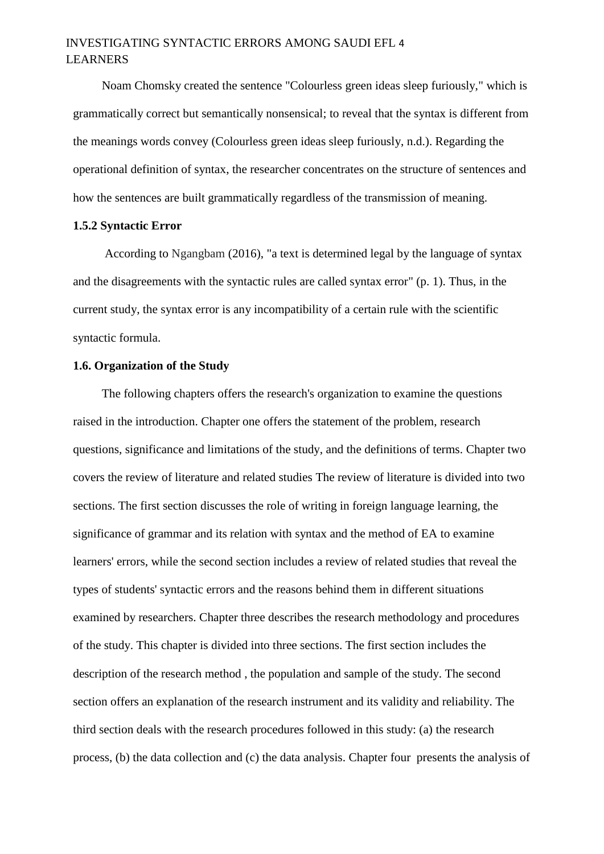## INVESTIGATING SYNTACTIC ERRORS AMONG SAUDI EFL 4 LEARNERS

Noam Chomsky created the sentence "Colourless green ideas sleep furiously," which is grammatically correct but semantically nonsensical; to reveal that the syntax is different from the meanings words convey (Colourless green ideas sleep furiously, n.d.). Regarding the operational definition of syntax, the researcher concentrates on the structure of sentences and how the sentences are built grammatically regardless of the transmission of meaning.

#### **1.5.2 Syntactic Error**

According to Ngangbam (2016), "a text is determined legal by the language of syntax and the disagreements with the syntactic rules are called syntax error" (p. 1). Thus, in the current study, the syntax error is any incompatibility of a certain rule with the scientific syntactic formula.

#### **1.6. Organization of the Study**

The following chapters offers the research's organization to examine the questions raised in the introduction. Chapter one offers the statement of the problem, research questions, significance and limitations of the study, and the definitions of terms. Chapter two covers the review of literature and related studies The review of literature is divided into two sections. The first section discusses the role of writing in foreign language learning, the significance of grammar and its relation with syntax and the method of EA to examine learners' errors, while the second section includes a review of related studies that reveal the types of students' syntactic errors and the reasons behind them in different situations examined by researchers. Chapter three describes the research methodology and procedures of the study. This chapter is divided into three sections. The first section includes the description of the research method , the population and sample of the study. The second section offers an explanation of the research instrument and its validity and reliability. The third section deals with the research procedures followed in this study: (a) the research process, (b) the data collection and (c) the data analysis. Chapter four presents the analysis of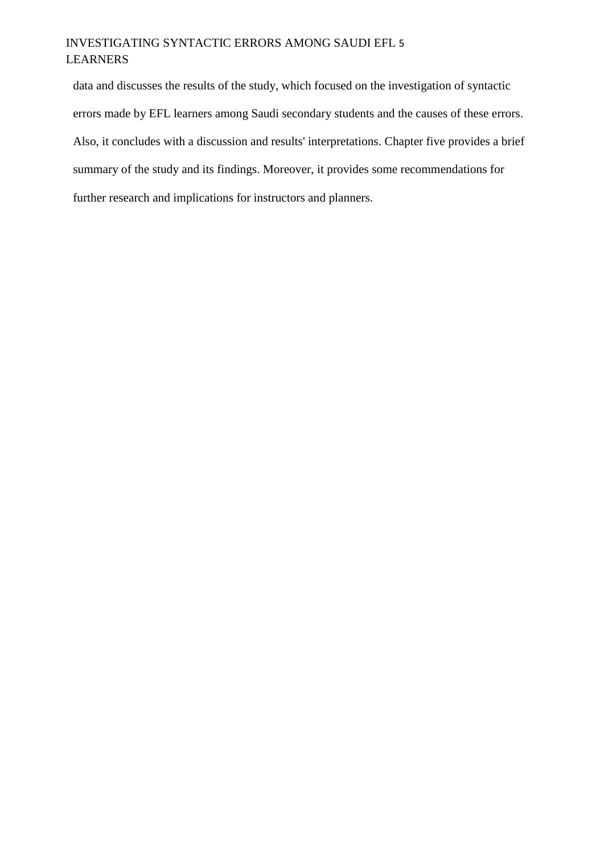## INVESTIGATING SYNTACTIC ERRORS AMONG SAUDI EFL 5 LEARNERS

data and discusses the results of the study, which focused on the investigation of syntactic errors made by EFL learners among Saudi secondary students and the causes of these errors. Also, it concludes with a discussion and results' interpretations. Chapter five provides a brief summary of the study and its findings. Moreover, it provides some recommendations for further research and implications for instructors and planners.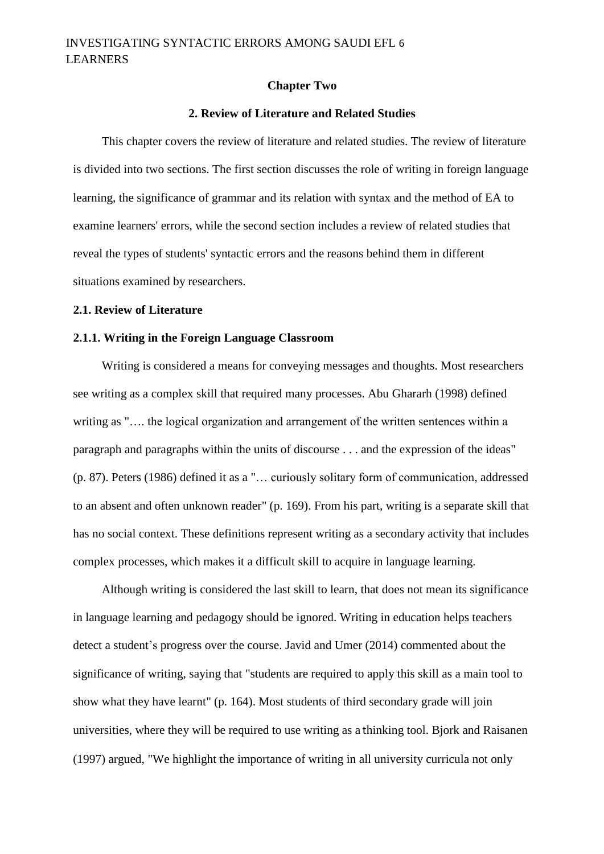#### **Chapter Two**

#### **2. Review of Literature and Related Studies**

This chapter covers the review of literature and related studies. The review of literature is divided into two sections. The first section discusses the role of writing in foreign language learning, the significance of grammar and its relation with syntax and the method of EA to examine learners' errors, while the second section includes a review of related studies that reveal the types of students' syntactic errors and the reasons behind them in different situations examined by researchers.

#### **2.1. Review of Literature**

#### **2.1.1. Writing in the Foreign Language Classroom**

Writing is considered a means for conveying messages and thoughts. Most researchers see writing as a complex skill that required many processes. Abu Ghararh (1998) defined writing as ".... the logical organization and arrangement of the written sentences within a paragraph and paragraphs within the units of discourse . . . and the expression of the ideas" (p. 87). Peters (1986) defined it as a "… curiously solitary form of communication, addressed to an absent and often unknown reader" (p. 169). From his part, writing is a separate skill that has no social context. These definitions represent writing as a secondary activity that includes complex processes, which makes it a difficult skill to acquire in language learning.

Although writing is considered the last skill to learn, that does not mean its significance in language learning and pedagogy should be ignored. Writing in education helps teachers detect a student's progress over the course. Javid and Umer (2014) commented about the significance of writing, saying that "students are required to apply this skill as a main tool to show what they have learnt" (p. 164). Most students of third secondary grade will join universities, where they will be required to use writing as a thinking tool. Bjork and Raisanen (1997) argued, "We highlight the importance of writing in all university curricula not only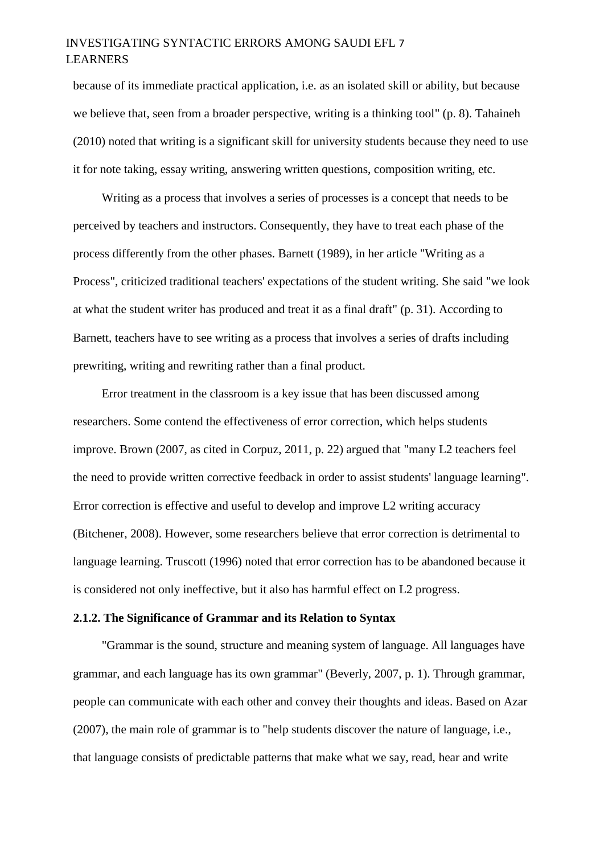## INVESTIGATING SYNTACTIC ERRORS AMONG SAUDI EFL 7 LEARNERS

because of its immediate practical application, i.e. as an isolated skill or ability, but because we believe that, seen from a broader perspective, writing is a thinking tool" (p. 8). Tahaineh (2010) noted that writing is a significant skill for university students because they need to use it for note taking, essay writing, answering written questions, composition writing, etc.

Writing as a process that involves a series of processes is a concept that needs to be perceived by teachers and instructors. Consequently, they have to treat each phase of the process differently from the other phases. Barnett (1989), in her article "Writing as a Process", criticized traditional teachers' expectations of the student writing. She said "we look at what the student writer has produced and treat it as a final draft" (p. 31). According to Barnett, teachers have to see writing as a process that involves a series of drafts including prewriting, writing and rewriting rather than a final product.

Error treatment in the classroom is a key issue that has been discussed among researchers. Some contend the effectiveness of error correction, which helps students improve. Brown (2007, as cited in Corpuz, 2011, p. 22) argued that "many L2 teachers feel the need to provide written corrective feedback in order to assist students' language learning". Error correction is effective and useful to develop and improve L2 writing accuracy (Bitchener, 2008). However, some researchers believe that error correction is detrimental to language learning. Truscott (1996) noted that error correction has to be abandoned because it is considered not only ineffective, but it also has harmful effect on L2 progress.

#### **2.1.2. The Significance of Grammar and its Relation to Syntax**

"Grammar is the sound, structure and meaning system of language. All languages have grammar, and each language has its own grammar" (Beverly, 2007, p. 1). Through grammar, people can communicate with each other and convey their thoughts and ideas. Based on Azar (2007), the main role of grammar is to "help students discover the nature of language, i.e., that language consists of predictable patterns that make what we say, read, hear and write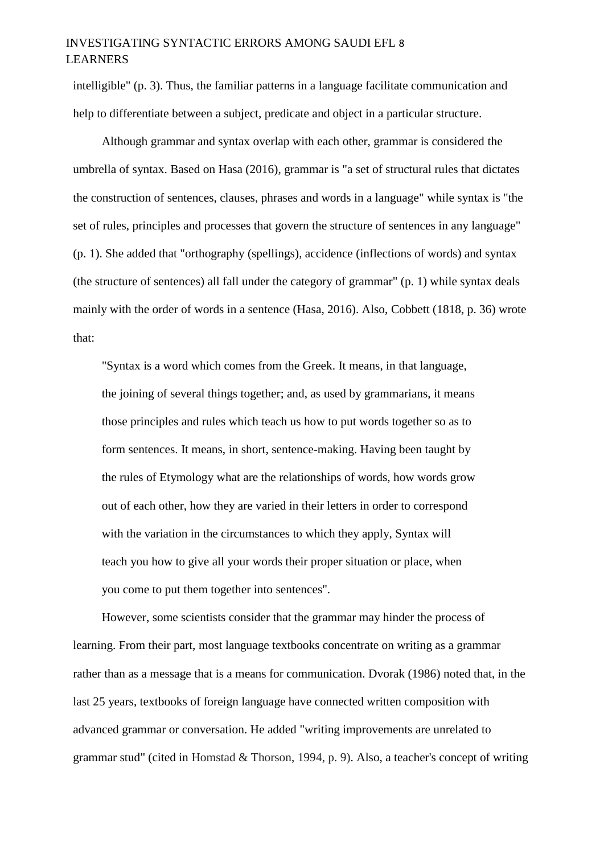## INVESTIGATING SYNTACTIC ERRORS AMONG SAUDI EFL 8 LEARNERS

intelligible" (p. 3). Thus, the familiar patterns in a language facilitate communication and help to differentiate between a subject, predicate and object in a particular structure.

Although grammar and syntax overlap with each other, grammar is considered the umbrella of syntax. Based on Hasa (2016), grammar is "a set of structural rules that dictates the construction of sentences, clauses, phrases and words in a language" while syntax is "the set of rules, principles and processes that govern the structure of sentences in any language" (p. 1). She added that "orthography (spellings), accidence (inflections of words) and syntax (the structure of sentences) all fall under the category of grammar" (p. 1) while syntax deals mainly with the order of words in a sentence (Hasa, 2016). Also, Cobbett (1818, p. 36) wrote that:

"Syntax is a word which comes from the Greek. It means, in that language, the joining of several things together; and, as used by grammarians, it means those principles and rules which teach us how to put words together so as to form sentences. It means, in short, sentence-making. Having been taught by the rules of Etymology what are the relationships of words, how words grow out of each other, how they are varied in their letters in order to correspond with the variation in the circumstances to which they apply, Syntax will teach you how to give all your words their proper situation or place, when you come to put them together into sentences".

However, some scientists consider that the grammar may hinder the process of learning. From their part, most language textbooks concentrate on writing as a grammar rather than as a message that is a means for communication. Dvorak (1986) noted that, in the last 25 years, textbooks of foreign language have connected written composition with advanced grammar or conversation. He added "writing improvements are unrelated to grammar stud" (cited in Homstad & Thorson, 1994, p. 9). Also, a teacher's concept of writing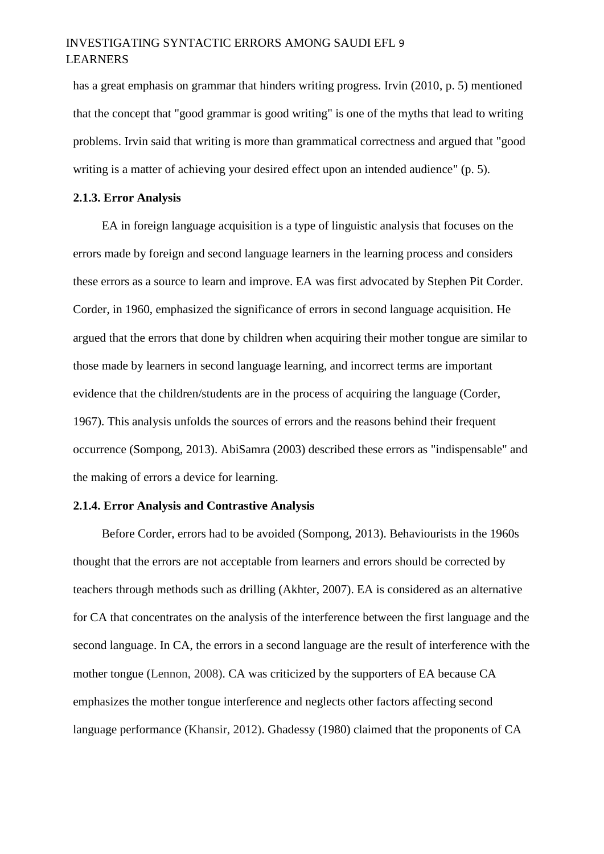## INVESTIGATING SYNTACTIC ERRORS AMONG SAUDI EFL 9 LEARNERS

has a great emphasis on grammar that hinders writing progress. Irvin (2010, p. 5) mentioned that the concept that "good grammar is good writing" is one of the myths that lead to writing problems. Irvin said that writing is more than grammatical correctness and argued that "good writing is a matter of achieving your desired effect upon an intended audience" (p. 5).

#### **2.1.3. Error Analysis**

EA in foreign language acquisition is a type of linguistic analysis that focuses on the errors made by foreign and second language learners in the learning process and considers these errors as a source to learn and improve. EA was first advocated by Stephen Pit Corder. Corder, in 1960, emphasized the significance of errors in second language acquisition. He argued that the errors that done by children when acquiring their mother tongue are similar to those made by learners in second language learning, and incorrect terms are important evidence that the children/students are in the process of acquiring the language (Corder, 1967). This analysis unfolds the sources of errors and the reasons behind their frequent occurrence (Sompong, 2013). AbiSamra (2003) described these errors as "indispensable" and the making of errors a device for learning.

#### **2.1.4. Error Analysis and Contrastive Analysis**

Before Corder, errors had to be avoided (Sompong, 2013). Behaviourists in the 1960s thought that the errors are not acceptable from learners and errors should be corrected by teachers through methods such as drilling (Akhter, 2007). EA is considered as an alternative for CA that concentrates on the analysis of the interference between the first language and the second language. In CA, the errors in a second language are the result of interference with the mother tongue (Lennon, 2008). CA was criticized by the supporters of EA because CA emphasizes the mother tongue interference and neglects other factors affecting second language performance (Khansir, 2012). Ghadessy (1980) claimed that the proponents of CA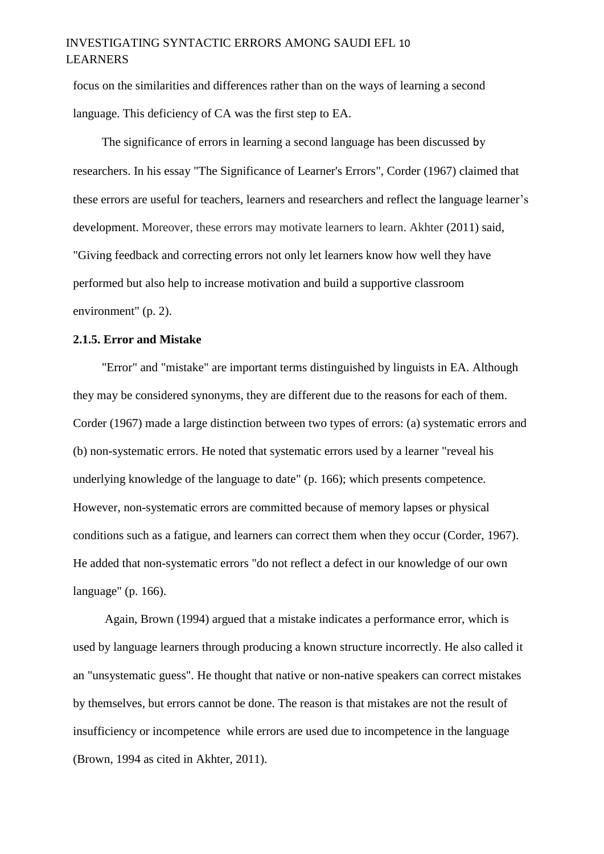## INVESTIGATING SYNTACTIC ERRORS AMONG SAUDI EFL 10 LEARNERS

focus on the similarities and differences rather than on the ways of learning a second language. This deficiency of CA was the first step to EA.

The significance of errors in learning a second language has been discussed by researchers. In his essay "The Significance of Learner's Errors", Corder (1967) claimed that these errors are useful for teachers, learners and researchers and reflect the language learner's development. Moreover, these errors may motivate learners to learn. Akhter (2011) said, "Giving feedback and correcting errors not only let learners know how well they have performed but also help to increase motivation and build a supportive classroom environment" (p. 2).

#### **2.1.5. Error and Mistake**

"Error" and "mistake" are important terms distinguished by linguists in EA. Although they may be considered synonyms, they are different due to the reasons for each of them. Corder (1967) made a large distinction between two types of errors: (a) systematic errors and (b) non-systematic errors. He noted that systematic errors used by a learner "reveal his underlying knowledge of the language to date" (p. 166); which presents competence. However, non-systematic errors are committed because of memory lapses or physical conditions such as a fatigue, and learners can correct them when they occur (Corder, 1967). He added that non-systematic errors "do not reflect a defect in our knowledge of our own language" (p. 166).

Again, Brown (1994) argued that a mistake indicates a performance error, which is used by language learners through producing a known structure incorrectly. He also called it an "unsystematic guess". He thought that native or non-native speakers can correct mistakes by themselves, but errors cannot be done. The reason is that mistakes are not the result of insufficiency or incompetence while errors are used due to incompetence in the language (Brown, 1994 as cited in Akhter, 2011).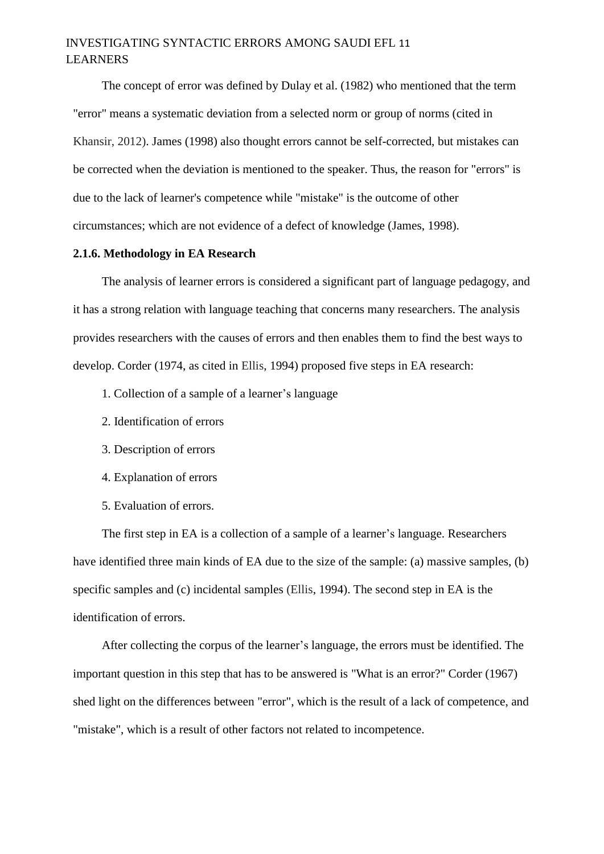## INVESTIGATING SYNTACTIC ERRORS AMONG SAUDI EFL 11 LEARNERS

The concept of error was defined by Dulay et al. (1982) who mentioned that the term "error" means a systematic deviation from a selected norm or group of norms (cited in Khansir, 2012). James (1998) also thought errors cannot be self-corrected, but mistakes can be corrected when the deviation is mentioned to the speaker. Thus, the reason for "errors" is due to the lack of learner's competence while "mistake" is the outcome of other circumstances; which are not evidence of a defect of knowledge (James, 1998).

#### **2.1.6. Methodology in EA Research**

The analysis of learner errors is considered a significant part of language pedagogy, and it has a strong relation with language teaching that concerns many researchers. The analysis provides researchers with the causes of errors and then enables them to find the best ways to develop. Corder (1974, as cited in Ellis, 1994) proposed five steps in EA research:

- 1. Collection of a sample of a learner's language
- 2. Identification of errors
- 3. Description of errors
- 4. Explanation of errors
- 5. Evaluation of errors.

The first step in EA is a collection of a sample of a learner's language. Researchers have identified three main kinds of EA due to the size of the sample: (a) massive samples, (b) specific samples and (c) incidental samples (Ellis, 1994). The second step in EA is the identification of errors.

After collecting the corpus of the learner's language, the errors must be identified. The important question in this step that has to be answered is "What is an error?" Corder (1967) shed light on the differences between "error", which is the result of a lack of competence, and "mistake", which is a result of other factors not related to incompetence.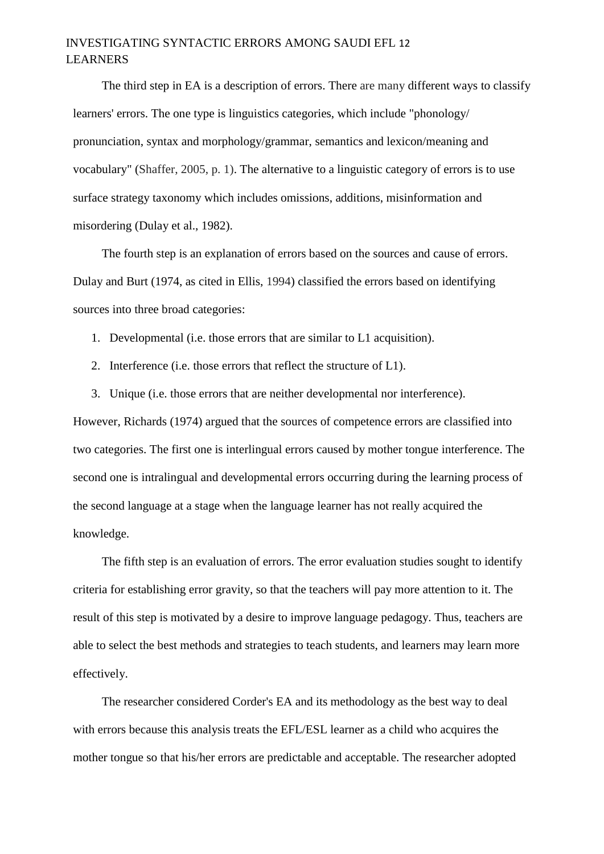## INVESTIGATING SYNTACTIC ERRORS AMONG SAUDI EFL 12 LEARNERS

The third step in EA is a description of errors. There are many different ways to classify learners' errors. The one type is linguistics categories, which include "phonology/ pronunciation, syntax and morphology/grammar, semantics and lexicon/meaning and vocabulary" (Shaffer, 2005, p. 1). The alternative to a linguistic category of errors is to use surface strategy taxonomy which includes omissions, additions, misinformation and misordering (Dulay et al., 1982).

The fourth step is an explanation of errors based on the sources and cause of errors. Dulay and Burt (1974, as cited in Ellis, 1994) classified the errors based on identifying sources into three broad categories:

- 1. Developmental (i.e. those errors that are similar to L1 acquisition).
- 2. Interference (i.e. those errors that reflect the structure of L1).
- 3. Unique (i.e. those errors that are neither developmental nor interference).

However, Richards (1974) argued that the sources of competence errors are classified into two categories. The first one is interlingual errors caused by mother tongue interference. The second one is intralingual and developmental errors occurring during the learning process of the second language at a stage when the language learner has not really acquired the knowledge.

The fifth step is an evaluation of errors. The error evaluation studies sought to identify criteria for establishing error gravity, so that the teachers will pay more attention to it. The result of this step is motivated by a desire to improve language pedagogy. Thus, teachers are able to select the best methods and strategies to teach students, and learners may learn more effectively.

The researcher considered Corder's EA and its methodology as the best way to deal with errors because this analysis treats the EFL/ESL learner as a child who acquires the mother tongue so that his/her errors are predictable and acceptable. The researcher adopted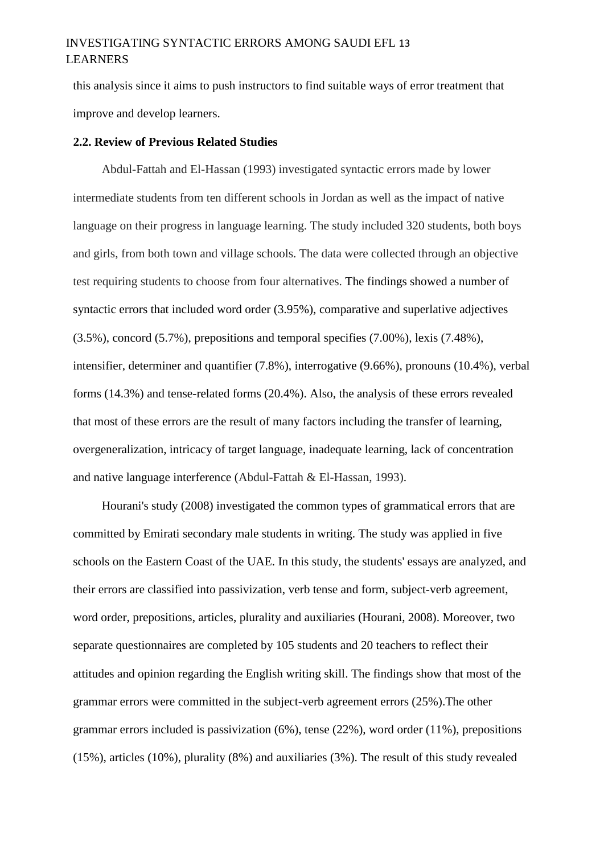## INVESTIGATING SYNTACTIC ERRORS AMONG SAUDI EFL 13 LEARNERS

this analysis since it aims to push instructors to find suitable ways of error treatment that improve and develop learners.

#### **2.2. Review of Previous Related Studies**

Abdul-Fattah and El-Hassan (1993) investigated syntactic errors made by lower intermediate students from ten different schools in Jordan as well as the impact of native language on their progress in language learning. The study included 320 students, both boys and girls, from both town and village schools. The data were collected through an objective test requiring students to choose from four alternatives. The findings showed a number of syntactic errors that included word order (3.95%), comparative and superlative adjectives (3.5%), concord (5.7%), prepositions and temporal specifies (7.00%), lexis (7.48%), intensifier, determiner and quantifier (7.8%), interrogative (9.66%), pronouns (10.4%), verbal forms (14.3%) and tense-related forms (20.4%). Also, the analysis of these errors revealed that most of these errors are the result of many factors including the transfer of learning, overgeneralization, intricacy of target language, inadequate learning, lack of concentration and native language interference (Abdul-Fattah & El-Hassan, 1993).

Hourani's study (2008) investigated the common types of grammatical errors that are committed by Emirati secondary male students in writing. The study was applied in five schools on the Eastern Coast of the UAE. In this study, the students' essays are analyzed, and their errors are classified into passivization, verb tense and form, subject-verb agreement, word order, prepositions, articles, plurality and auxiliaries (Hourani, 2008). Moreover, two separate questionnaires are completed by 105 students and 20 teachers to reflect their attitudes and opinion regarding the English writing skill. The findings show that most of the grammar errors were committed in the subject-verb agreement errors (25%).The other grammar errors included is passivization (6%), tense (22%), word order (11%), prepositions (15%), articles (10%), plurality (8%) and auxiliaries (3%). The result of this study revealed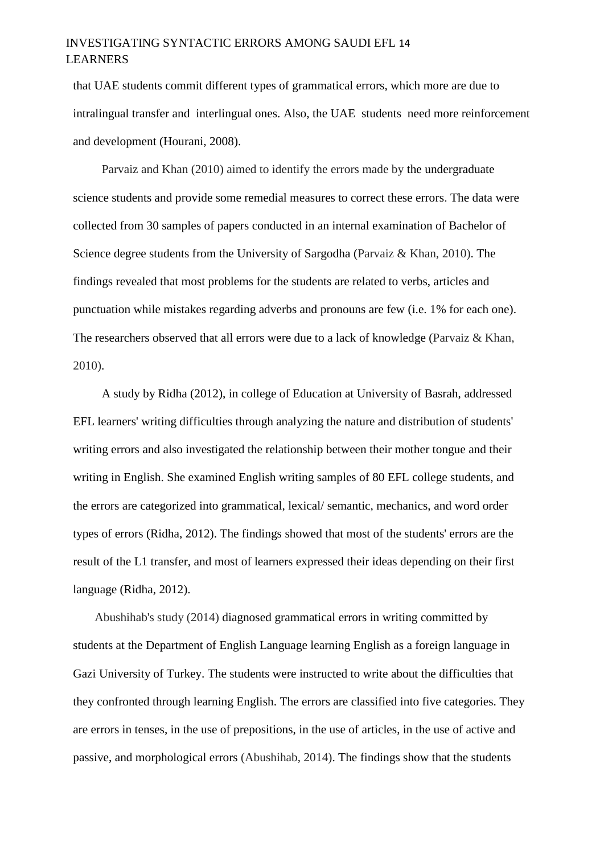## INVESTIGATING SYNTACTIC ERRORS AMONG SAUDI EFL 14 LEARNERS

that UAE students commit different types of grammatical errors, which more are due to intralingual transfer and interlingual ones. Also, the UAE students need more reinforcement and development (Hourani, 2008).

Parvaiz and Khan (2010) aimed to identify the errors made by the undergraduate science students and provide some remedial measures to correct these errors. The data were collected from 30 samples of papers conducted in an internal examination of Bachelor of Science degree students from the University of Sargodha (Parvaiz & Khan, 2010). The findings revealed that most problems for the students are related to verbs, articles and punctuation while mistakes regarding adverbs and pronouns are few (i.e. 1% for each one). The researchers observed that all errors were due to a lack of knowledge (Parvaiz & Khan, 2010).

A study by Ridha (2012), in college of Education at University of Basrah, addressed EFL learners' writing difficulties through analyzing the nature and distribution of students' writing errors and also investigated the relationship between their mother tongue and their writing in English. She examined English writing samples of 80 EFL college students, and the errors are categorized into grammatical, lexical/ semantic, mechanics, and word order types of errors (Ridha, 2012). The findings showed that most of the students' errors are the result of the L1 transfer, and most of learners expressed their ideas depending on their first language (Ridha, 2012).

Abushihab's study (2014) diagnosed grammatical errors in writing committed by students at the Department of English Language learning English as a foreign language in Gazi University of Turkey. The students were instructed to write about the difficulties that they confronted through learning English. The errors are classified into five categories. They are errors in tenses, in the use of prepositions, in the use of articles, in the use of active and passive, and morphological errors (Abushihab, 2014). The findings show that the students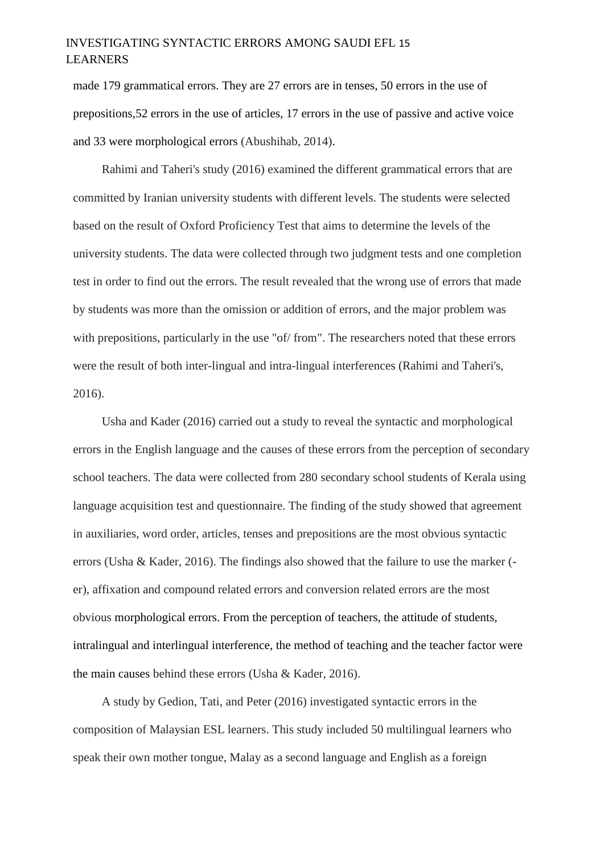## INVESTIGATING SYNTACTIC ERRORS AMONG SAUDI EFL 15 LEARNERS

made 179 grammatical errors. They are 27 errors are in tenses, 50 errors in the use of prepositions,52 errors in the use of articles, 17 errors in the use of passive and active voice and 33 were morphological errors (Abushihab, 2014).

Rahimi and Taheri's study (2016) examined the different grammatical errors that are committed by Iranian university students with different levels. The students were selected based on the result of Oxford Proficiency Test that aims to determine the levels of the university students. The data were collected through two judgment tests and one completion test in order to find out the errors. The result revealed that the wrong use of errors that made by students was more than the omission or addition of errors, and the major problem was with prepositions, particularly in the use "of/ from". The researchers noted that these errors were the result of both inter-lingual and intra-lingual interferences (Rahimi and Taheri's, 2016).

Usha and Kader (2016) carried out a study to reveal the syntactic and morphological errors in the English language and the causes of these errors from the perception of secondary school teachers. The data were collected from 280 secondary school students of Kerala using language acquisition test and questionnaire. The finding of the study showed that agreement in auxiliaries, word order, articles, tenses and prepositions are the most obvious syntactic errors (Usha & Kader, 2016). The findings also showed that the failure to use the marker ( er), affixation and compound related errors and conversion related errors are the most obvious morphological errors. From the perception of teachers, the attitude of students, intralingual and interlingual interference, the method of teaching and the teacher factor were the main causes behind these errors (Usha & Kader, 2016).

A study by Gedion, Tati, and Peter (2016) investigated syntactic errors in the composition of Malaysian ESL learners. This study included 50 multilingual learners who speak their own mother tongue, Malay as a second language and English as a foreign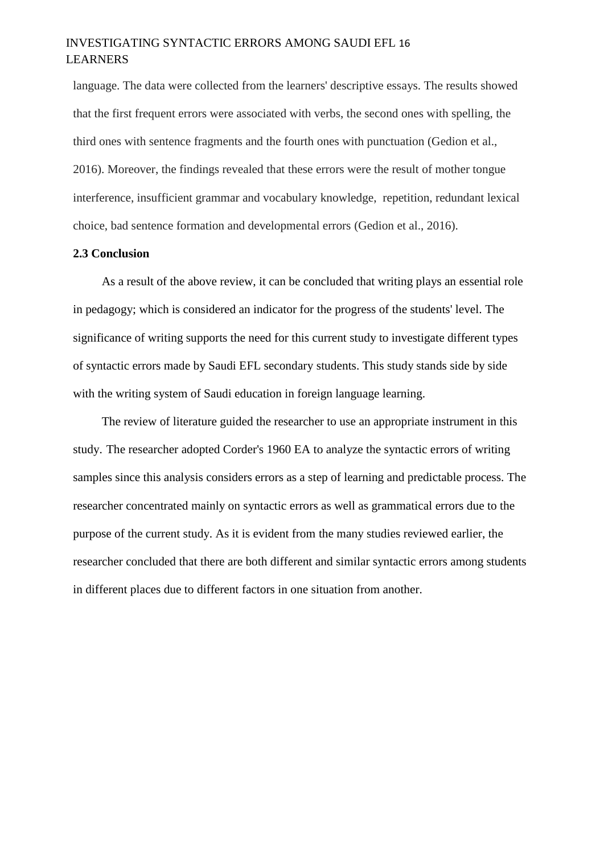### INVESTIGATING SYNTACTIC ERRORS AMONG SAUDI EFL 16 LEARNERS

language. The data were collected from the learners' descriptive essays. The results showed that the first frequent errors were associated with verbs, the second ones with spelling, the third ones with sentence fragments and the fourth ones with punctuation (Gedion et al., 2016). Moreover, the findings revealed that these errors were the result of mother tongue interference, insufficient grammar and vocabulary knowledge, repetition, redundant lexical choice, bad sentence formation and developmental errors (Gedion et al., 2016).

#### **2.3 Conclusion**

As a result of the above review, it can be concluded that writing plays an essential role in pedagogy; which is considered an indicator for the progress of the students' level. The significance of writing supports the need for this current study to investigate different types of syntactic errors made by Saudi EFL secondary students. This study stands side by side with the writing system of Saudi education in foreign language learning.

The review of literature guided the researcher to use an appropriate instrument in this study. The researcher adopted Corder's 1960 EA to analyze the syntactic errors of writing samples since this analysis considers errors as a step of learning and predictable process. The researcher concentrated mainly on syntactic errors as well as grammatical errors due to the purpose of the current study. As it is evident from the many studies reviewed earlier, the researcher concluded that there are both different and similar syntactic errors among students in different places due to different factors in one situation from another.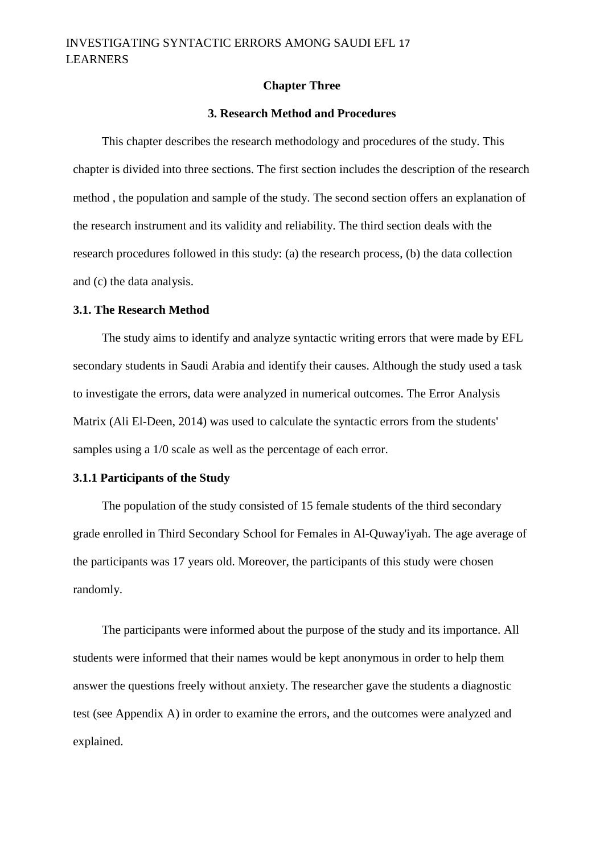#### **Chapter Three**

#### **3. Research Method and Procedures**

This chapter describes the research methodology and procedures of the study. This chapter is divided into three sections. The first section includes the description of the research method , the population and sample of the study. The second section offers an explanation of the research instrument and its validity and reliability. The third section deals with the research procedures followed in this study: (a) the research process, (b) the data collection and (c) the data analysis.

#### **3.1. The Research Method**

The study aims to identify and analyze syntactic writing errors that were made by EFL secondary students in Saudi Arabia and identify their causes. Although the study used a task to investigate the errors, data were analyzed in numerical outcomes. The Error Analysis Matrix (Ali El-Deen, 2014) was used to calculate the syntactic errors from the students' samples using a 1/0 scale as well as the percentage of each error.

#### **3.1.1 Participants of the Study**

The population of the study consisted of 15 female students of the third secondary grade enrolled in Third Secondary School for Females in Al-Quway'iyah. The age average of the participants was 17 years old. Moreover, the participants of this study were chosen randomly.

The participants were informed about the purpose of the study and its importance. All students were informed that their names would be kept anonymous in order to help them answer the questions freely without anxiety. The researcher gave the students a diagnostic test (see Appendix A) in order to examine the errors, and the outcomes were analyzed and explained.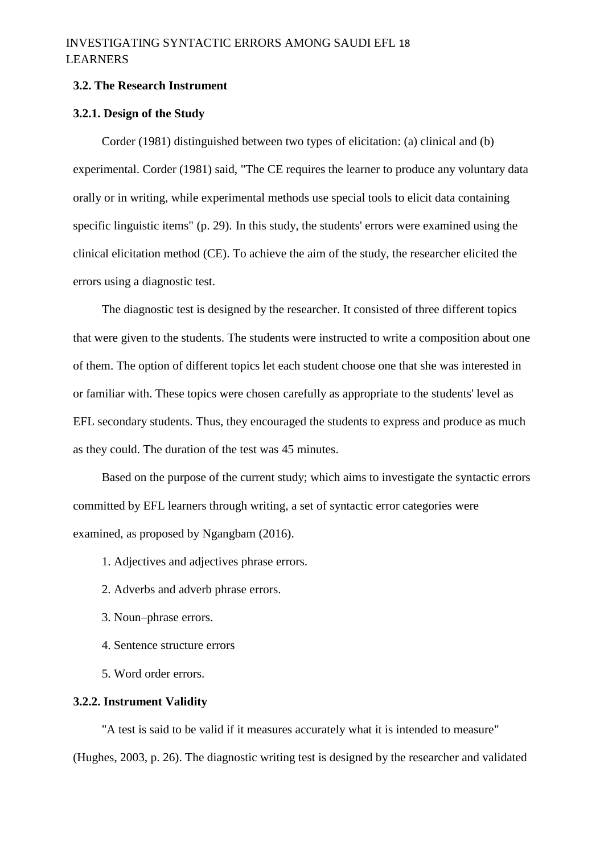## INVESTIGATING SYNTACTIC ERRORS AMONG SAUDI EFL 18 LEARNERS

#### **3.2. The Research Instrument**

#### **3.2.1. Design of the Study**

Corder (1981) distinguished between two types of elicitation: (a) clinical and (b) experimental. Corder (1981) said, "The CE requires the learner to produce any voluntary data orally or in writing, while experimental methods use special tools to elicit data containing specific linguistic items" (p. 29). In this study, the students' errors were examined using the clinical elicitation method (CE). To achieve the aim of the study, the researcher elicited the errors using a diagnostic test.

The diagnostic test is designed by the researcher. It consisted of three different topics that were given to the students. The students were instructed to write a composition about one of them. The option of different topics let each student choose one that she was interested in or familiar with. These topics were chosen carefully as appropriate to the students' level as EFL secondary students. Thus, they encouraged the students to express and produce as much as they could. The duration of the test was 45 minutes.

Based on the purpose of the current study; which aims to investigate the syntactic errors committed by EFL learners through writing, a set of syntactic error categories were examined, as proposed by Ngangbam (2016).

1. Adjectives and adjectives phrase errors.

- 2. Adverbs and adverb phrase errors.
- 3. Noun–phrase errors.
- 4. Sentence structure errors
- 5. Word order errors.

#### **3.2.2. Instrument Validity**

"A test is said to be valid if it measures accurately what it is intended to measure" (Hughes, 2003, p. 26). The diagnostic writing test is designed by the researcher and validated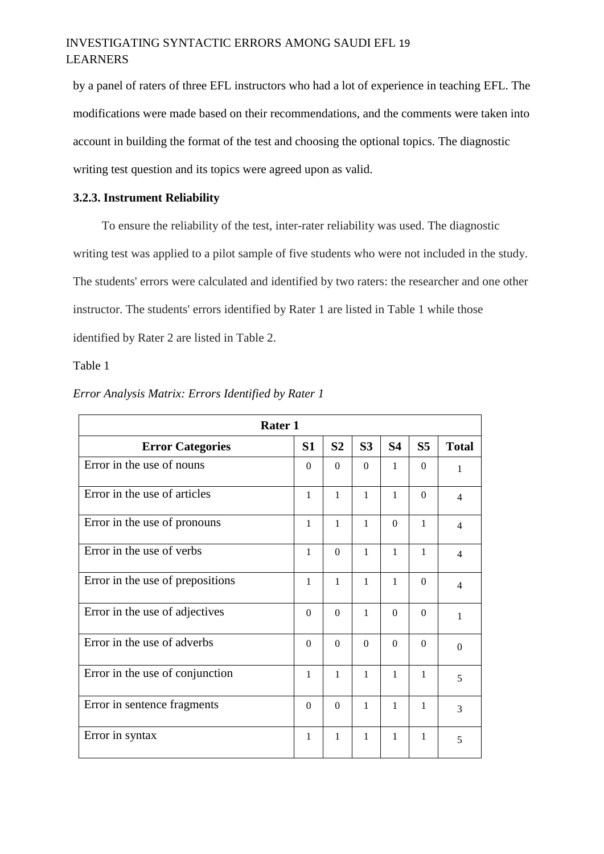## INVESTIGATING SYNTACTIC ERRORS AMONG SAUDI EFL 19 LEARNERS

by a panel of raters of three EFL instructors who had a lot of experience in teaching EFL. The modifications were made based on their recommendations, and the comments were taken into account in building the format of the test and choosing the optional topics. The diagnostic writing test question and its topics were agreed upon as valid.

#### **3.2.3. Instrument Reliability**

To ensure the reliability of the test, inter-rater reliability was used. The diagnostic writing test was applied to a pilot sample of five students who were not included in the study. The students' errors were calculated and identified by two raters: the researcher and one other instructor. The students' errors identified by Rater 1 are listed in Table 1 while those identified by Rater 2 are listed in Table 2.

Table 1

| <b>Rater 1</b>                   |              |                |                |              |                |                |  |  |  |  |  |  |
|----------------------------------|--------------|----------------|----------------|--------------|----------------|----------------|--|--|--|--|--|--|
| <b>Error Categories</b>          | S1           | S <sub>2</sub> | S <sub>3</sub> | <b>S4</b>    | S <sub>5</sub> | <b>Total</b>   |  |  |  |  |  |  |
| Error in the use of nouns        | $\Omega$     | $\theta$       | $\theta$       | 1            | $\Omega$       | 1              |  |  |  |  |  |  |
| Error in the use of articles     | $\mathbf{1}$ | $\mathbf{1}$   | $\mathbf{1}$   | $\mathbf{1}$ | $\Omega$       | $\overline{4}$ |  |  |  |  |  |  |
| Error in the use of pronouns     | $\mathbf{1}$ | $\mathbf{1}$   | $\mathbf{1}$   | $\Omega$     | $\mathbf{1}$   | $\overline{4}$ |  |  |  |  |  |  |
| Error in the use of verbs        | $\mathbf{1}$ | $\overline{0}$ | $\mathbf{1}$   | $\mathbf{1}$ | $\mathbf{1}$   | $\overline{4}$ |  |  |  |  |  |  |
| Error in the use of prepositions | 1            | $\mathbf{1}$   | 1              | 1            | $\Omega$       | $\overline{4}$ |  |  |  |  |  |  |
| Error in the use of adjectives   | $\Omega$     | $\Omega$       | 1              | $\Omega$     | $\Omega$       | $\mathbf{1}$   |  |  |  |  |  |  |
| Error in the use of adverbs      | $\Omega$     | $\Omega$       | $\theta$       | $\Omega$     | $\Omega$       | $\theta$       |  |  |  |  |  |  |
| Error in the use of conjunction  | $\mathbf{1}$ | $\mathbf{1}$   | 1              | $\mathbf{1}$ | $\mathbf{1}$   | 5              |  |  |  |  |  |  |
| Error in sentence fragments      | $\Omega$     | $\mathbf{0}$   | $\mathbf{1}$   | $\mathbf{1}$ | 1              | $\overline{3}$ |  |  |  |  |  |  |
| Error in syntax                  | $\mathbf{1}$ | $\mathbf{1}$   | 1              | $\mathbf{1}$ | $\mathbf{1}$   | 5              |  |  |  |  |  |  |

#### *Error Analysis Matrix: Errors Identified by Rater 1*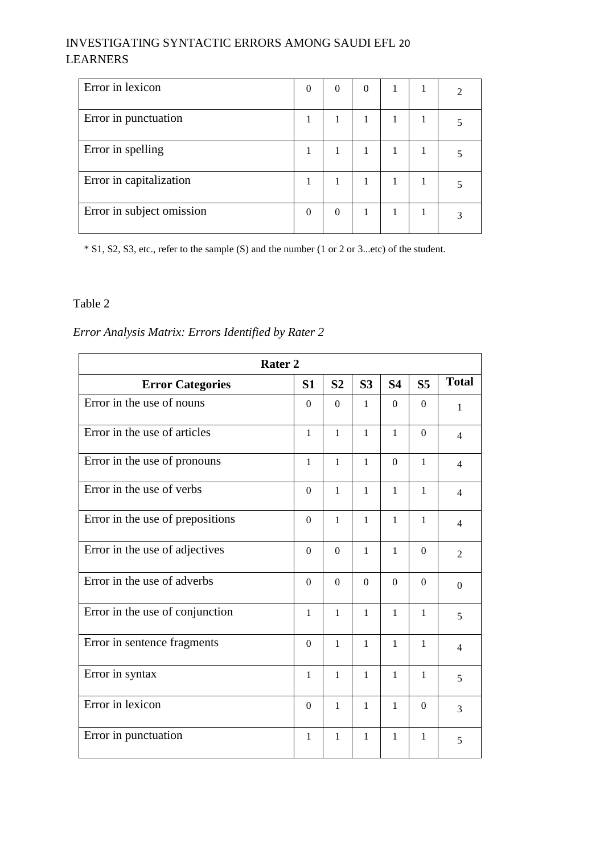## INVESTIGATING SYNTACTIC ERRORS AMONG SAUDI EFL 20 LEARNERS

| Error in lexicon          | $\theta$ | $\Omega$ | $\theta$ |   |  |
|---------------------------|----------|----------|----------|---|--|
| Error in punctuation      |          |          |          |   |  |
| Error in spelling         |          |          | 1        |   |  |
| Error in capitalization   | 1        |          |          | 1 |  |
| Error in subject omission | $\theta$ | $\Omega$ |          |   |  |

\* S1, S2, S3, etc., refer to the sample (S) and the number (1 or 2 or 3...etc) of the student.

#### Table 2

## *Error Analysis Matrix: Errors Identified by Rater 2*

|                                  | Rater <sub>2</sub> |                  |                  |              |                |                          |  |  |  |  |  |  |
|----------------------------------|--------------------|------------------|------------------|--------------|----------------|--------------------------|--|--|--|--|--|--|
| <b>Error Categories</b>          | S <sub>1</sub>     | S <sub>2</sub>   | S <sub>3</sub>   | <b>S4</b>    | S <sub>5</sub> | <b>Total</b>             |  |  |  |  |  |  |
| Error in the use of nouns        | $\Omega$           | $\Omega$         | $\mathbf{1}$     | $\Omega$     | $\Omega$       | $\mathbf{1}$             |  |  |  |  |  |  |
| Error in the use of articles     | $\mathbf{1}$       | $\mathbf{1}$     | $\mathbf{1}$     | $\mathbf{1}$ | $\overline{0}$ | $\overline{4}$           |  |  |  |  |  |  |
| Error in the use of pronouns     | $\mathbf{1}$       | $\mathbf{1}$     | $\mathbf{1}$     | $\Omega$     | $\mathbf{1}$   | $\overline{\mathcal{A}}$ |  |  |  |  |  |  |
| Error in the use of verbs        | $\Omega$           | $\mathbf{1}$     | $\mathbf{1}$     | $\mathbf{1}$ | $\mathbf{1}$   | $\overline{4}$           |  |  |  |  |  |  |
| Error in the use of prepositions | $\overline{0}$     | $\mathbf{1}$     | $\mathbf{1}$     | $\mathbf{1}$ | $\mathbf{1}$   | $\overline{\mathcal{A}}$ |  |  |  |  |  |  |
| Error in the use of adjectives   | $\Omega$           | $\Omega$         | $\mathbf{1}$     | $\mathbf{1}$ | $\Omega$       | $\overline{2}$           |  |  |  |  |  |  |
| Error in the use of adverbs      | $\boldsymbol{0}$   | $\boldsymbol{0}$ | $\boldsymbol{0}$ | $\Omega$     | $\overline{0}$ | $\Omega$                 |  |  |  |  |  |  |
| Error in the use of conjunction  | $\mathbf{1}$       | $\mathbf{1}$     | $\mathbf{1}$     | $\mathbf{1}$ | $\mathbf{1}$   | 5                        |  |  |  |  |  |  |
| Error in sentence fragments      | $\Omega$           | $\mathbf{1}$     | 1                | $\mathbf{1}$ | $\mathbf{1}$   | $\overline{\mathcal{L}}$ |  |  |  |  |  |  |
| Error in syntax                  | $\mathbf{1}$       | $\mathbf 1$      | $\mathbf{1}$     | $\mathbf{1}$ | $\mathbf 1$    | 5                        |  |  |  |  |  |  |
| Error in lexicon                 | $\Omega$           | $\mathbf{1}$     | $\mathbf{1}$     | $\mathbf{1}$ | $\Omega$       | 3                        |  |  |  |  |  |  |
| Error in punctuation             | $\mathbf{1}$       | $\mathbf{1}$     | $\mathbf{1}$     | $\mathbf{1}$ | $\mathbf{1}$   | 5                        |  |  |  |  |  |  |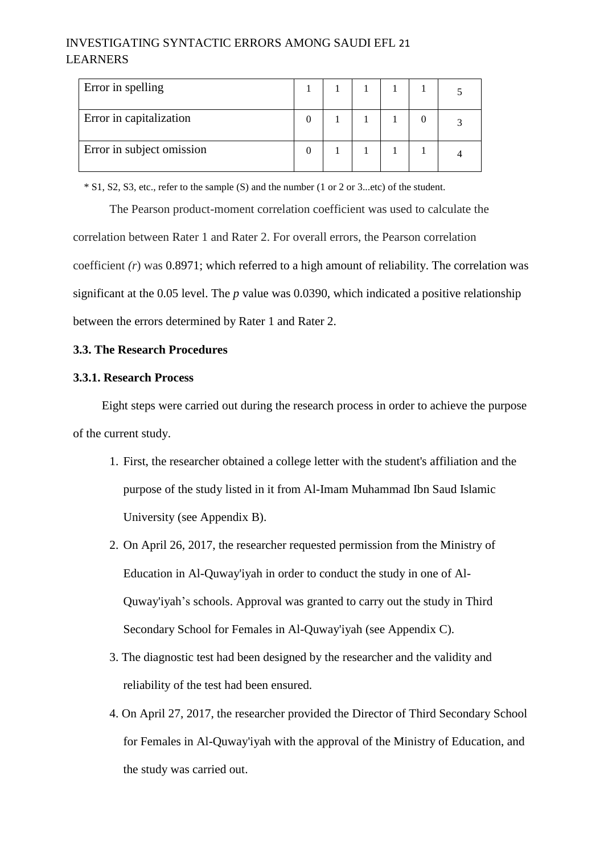## INVESTIGATING SYNTACTIC ERRORS AMONG SAUDI EFL 21 LEARNERS

| Error in spelling         |  |  |  |
|---------------------------|--|--|--|
| Error in capitalization   |  |  |  |
| Error in subject omission |  |  |  |

\* S1, S2, S3, etc., refer to the sample (S) and the number (1 or 2 or 3...etc) of the student.

The Pearson product-moment correlation coefficient was used to calculate the correlation between Rater 1 and Rater 2. For overall errors, the Pearson correlation coefficient *(r*) was 0.8971; which referred to a high amount of reliability. The correlation was significant at the 0.05 level. The *p* value was 0.0390, which indicated a positive relationship between the errors determined by Rater 1 and Rater 2.

#### **3.3. The Research Procedures**

#### **3.3.1. Research Process**

Eight steps were carried out during the research process in order to achieve the purpose of the current study.

- 1. First, the researcher obtained a college letter with the student's affiliation and the purpose of the study listed in it from Al-Imam Muhammad Ibn Saud Islamic University (see Appendix B).
- 2. On April 26, 2017, the researcher requested permission from the Ministry of Education in Al-Quway'iyah in order to conduct the study in one of Al-Quway'iyah's schools. Approval was granted to carry out the study in Third Secondary School for Females in Al-Quway'iyah (see Appendix C).
- 3. The diagnostic test had been designed by the researcher and the validity and reliability of the test had been ensured.
- 4. On April 27, 2017, the researcher provided the Director of Third Secondary School for Females in Al-Quway'iyah with the approval of the Ministry of Education, and the study was carried out.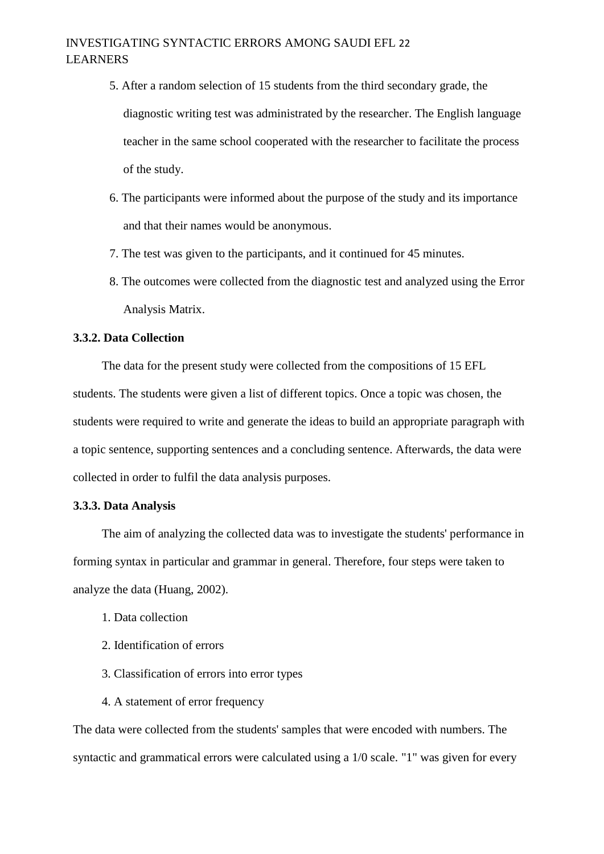## INVESTIGATING SYNTACTIC ERRORS AMONG SAUDI EFL 22 LEARNERS

- 5. After a random selection of 15 students from the third secondary grade, the diagnostic writing test was administrated by the researcher. The English language teacher in the same school cooperated with the researcher to facilitate the process of the study.
- 6. The participants were informed about the purpose of the study and its importance and that their names would be anonymous.
- 7. The test was given to the participants, and it continued for 45 minutes.
- 8. The outcomes were collected from the diagnostic test and analyzed using the Error Analysis Matrix.

#### **3.3.2. Data Collection**

The data for the present study were collected from the compositions of 15 EFL students. The students were given a list of different topics. Once a topic was chosen, the students were required to write and generate the ideas to build an appropriate paragraph with a topic sentence, supporting sentences and a concluding sentence. Afterwards, the data were collected in order to fulfil the data analysis purposes.

#### **3.3.3. Data Analysis**

The aim of analyzing the collected data was to investigate the students' performance in forming syntax in particular and grammar in general. Therefore, four steps were taken to analyze the data (Huang, 2002).

- 1. Data collection
- 2. Identification of errors
- 3. Classification of errors into error types
- 4. A statement of error frequency

The data were collected from the students' samples that were encoded with numbers. The syntactic and grammatical errors were calculated using a 1/0 scale. "1" was given for every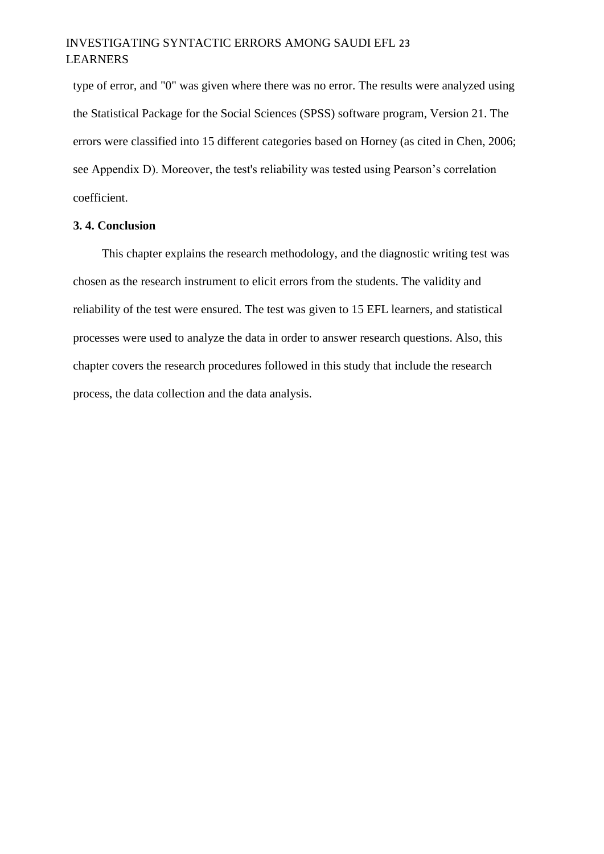## INVESTIGATING SYNTACTIC ERRORS AMONG SAUDI EFL 23 LEARNERS

type of error, and "0" was given where there was no error. The results were analyzed using the Statistical Package for the Social Sciences (SPSS) software program, Version 21. The errors were classified into 15 different categories based on Horney (as cited in Chen, 2006; see Appendix D). Moreover, the test's reliability was tested using Pearson's correlation coefficient.

#### **3. 4. Conclusion**

This chapter explains the research methodology, and the diagnostic writing test was chosen as the research instrument to elicit errors from the students. The validity and reliability of the test were ensured. The test was given to 15 EFL learners, and statistical processes were used to analyze the data in order to answer research questions. Also, this chapter covers the research procedures followed in this study that include the research process, the data collection and the data analysis.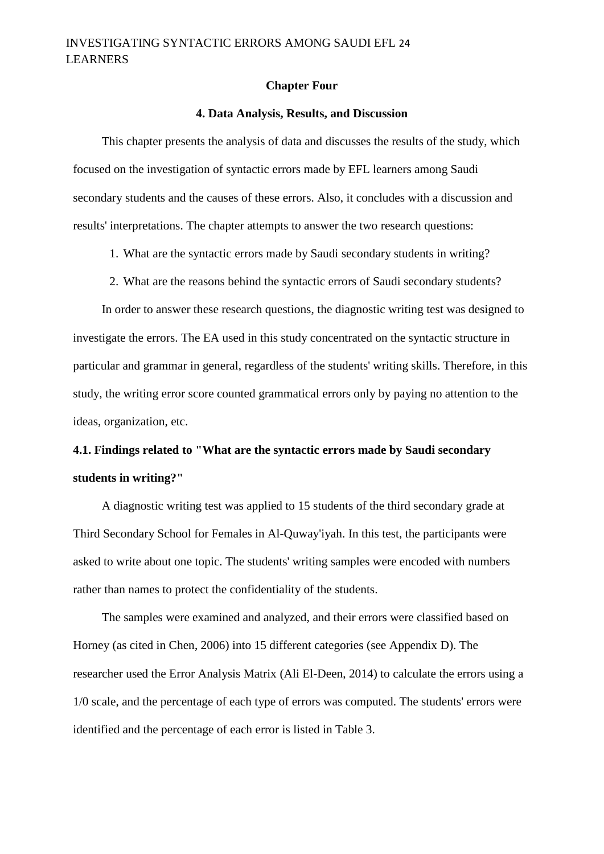#### **Chapter Four**

#### **4. Data Analysis, Results, and Discussion**

This chapter presents the analysis of data and discusses the results of the study, which focused on the investigation of syntactic errors made by EFL learners among Saudi secondary students and the causes of these errors. Also, it concludes with a discussion and results' interpretations. The chapter attempts to answer the two research questions:

1. What are the syntactic errors made by Saudi secondary students in writing?

2. What are the reasons behind the syntactic errors of Saudi secondary students?

In order to answer these research questions, the diagnostic writing test was designed to investigate the errors. The EA used in this study concentrated on the syntactic structure in particular and grammar in general, regardless of the students' writing skills. Therefore, in this study, the writing error score counted grammatical errors only by paying no attention to the ideas, organization, etc.

# **4.1. Findings related to "What are the syntactic errors made by Saudi secondary students in writing?"**

A diagnostic writing test was applied to 15 students of the third secondary grade at Third Secondary School for Females in Al-Quway'iyah. In this test, the participants were asked to write about one topic. The students' writing samples were encoded with numbers rather than names to protect the confidentiality of the students.

The samples were examined and analyzed, and their errors were classified based on Horney (as cited in Chen, 2006) into 15 different categories (see Appendix D). The researcher used the Error Analysis Matrix (Ali El-Deen, 2014) to calculate the errors using a 1/0 scale, and the percentage of each type of errors was computed. The students' errors were identified and the percentage of each error is listed in Table 3.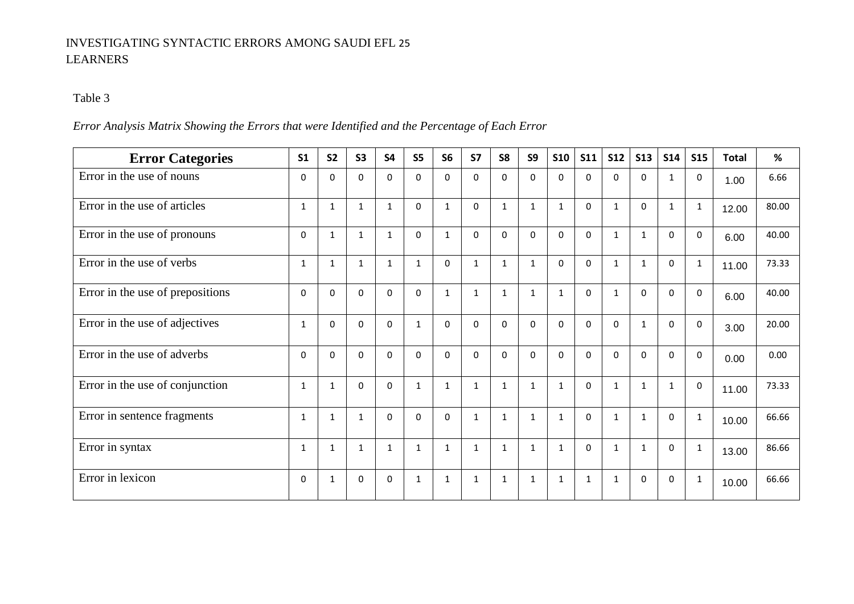## INVESTIGATING SYNTACTIC ERRORS AMONG SAUDI EFL 25 LEARNERS

## Table 3

## *Error Analysis Matrix Showing the Errors that were Identified and the Percentage of Each Error*

| <b>Error Categories</b>          | S <sub>1</sub> | <b>S2</b>    | <b>S3</b>    | <b>S4</b>    | S <sub>5</sub> | S <sub>6</sub> | <b>S7</b>    | S <sub>8</sub> | S9           | <b>S10</b>   | <b>S11</b>   | <b>S12</b>   | <b>S13</b>   | <b>S14</b>   | <b>S15</b>   | <b>Total</b> | %     |
|----------------------------------|----------------|--------------|--------------|--------------|----------------|----------------|--------------|----------------|--------------|--------------|--------------|--------------|--------------|--------------|--------------|--------------|-------|
| Error in the use of nouns        | $\Omega$       | $\Omega$     | $\Omega$     | $\Omega$     | $\Omega$       | $\Omega$       | $\Omega$     | $\mathbf{0}$   | $\Omega$     | $\Omega$     | $\Omega$     | $\mathbf 0$  | $\Omega$     | 1            | $\Omega$     | 1.00         | 6.66  |
| Error in the use of articles     | $\mathbf{1}$   | $\mathbf{1}$ | $\mathbf{1}$ | $\mathbf{1}$ | $\Omega$       | $\mathbf{1}$   | $\mathbf{0}$ | $\mathbf{1}$   | $\mathbf{1}$ | $\mathbf{1}$ | $\Omega$     | $\mathbf{1}$ | $\Omega$     | $\mathbf{1}$ | $\mathbf{1}$ | 12.00        | 80.00 |
| Error in the use of pronouns     | $\Omega$       | $\mathbf{1}$ | $\mathbf{1}$ | $\mathbf{1}$ | $\Omega$       | $\mathbf{1}$   | $\mathbf{0}$ | $\Omega$       | $\mathbf 0$  | $\mathbf 0$  | $\Omega$     | $\mathbf{1}$ | $\mathbf{1}$ | $\Omega$     | $\Omega$     | 6.00         | 40.00 |
| Error in the use of verbs        | $\mathbf{1}$   | $\mathbf{1}$ | $\mathbf{1}$ | $\mathbf{1}$ | $\mathbf{1}$   | $\Omega$       | $\mathbf{1}$ | $\mathbf{1}$   | $1\,$        | $\mathbf 0$  | $\mathbf 0$  | $\mathbf{1}$ | $\mathbf{1}$ | $\Omega$     | $\mathbf{1}$ | 11.00        | 73.33 |
| Error in the use of prepositions | $\Omega$       | $\Omega$     | $\Omega$     | $\Omega$     | $\Omega$       | $\mathbf{1}$   | $\mathbf{1}$ | $\mathbf{1}$   | $\mathbf{1}$ | $\mathbf{1}$ | $\Omega$     | $\mathbf{1}$ | $\Omega$     | $\mathbf{0}$ | $\Omega$     | 6.00         | 40.00 |
| Error in the use of adjectives   | 1              | $\mathbf 0$  | $\mathbf 0$  | 0            | $\mathbf{1}$   | $\Omega$       | $\Omega$     | $\mathbf{0}$   | $\mathbf 0$  | $\mathbf 0$  | $\mathbf 0$  | $\mathbf 0$  | $\mathbf{1}$ | $\Omega$     | $\Omega$     | 3.00         | 20.00 |
| Error in the use of adverbs      | $\Omega$       | $\Omega$     | $\Omega$     | $\Omega$     | $\Omega$       | $\Omega$       | $\Omega$     | $\mathbf{0}$   | $\Omega$     | $\Omega$     | $\Omega$     | $\Omega$     | $\Omega$     | $\Omega$     | $\Omega$     | 0.00         | 0.00  |
| Error in the use of conjunction  | 1              | 1            | $\Omega$     | $\Omega$     | $\mathbf{1}$   | $\mathbf{1}$   | $\mathbf{1}$ | $\mathbf{1}$   | $\mathbf{1}$ | $\mathbf{1}$ | $\Omega$     | $\mathbf{1}$ | $\mathbf{1}$ | 1            | $\Omega$     | 11.00        | 73.33 |
| Error in sentence fragments      | $\mathbf{1}$   | $\mathbf{1}$ | $\mathbf{1}$ | $\Omega$     | $\Omega$       | $\Omega$       | $\mathbf{1}$ | $\mathbf{1}$   | 1            | 1            | $\mathbf 0$  | $\mathbf{1}$ | $\mathbf{1}$ | $\Omega$     | 1            | 10.00        | 66.66 |
| Error in syntax                  | 1              | 1            | 1            | $\mathbf{1}$ | $\mathbf{1}$   | $\mathbf{1}$   | 1            | $\mathbf{1}$   | 1            | $\mathbf{1}$ | 0            | $\mathbf{1}$ | $\mathbf{1}$ | $\Omega$     | 1            | 13.00        | 86.66 |
| Error in lexicon                 | $\Omega$       | $\mathbf{1}$ | $\Omega$     | $\Omega$     | $\mathbf{1}$   | $\mathbf{1}$   | 1            | $\mathbf{1}$   | $\mathbf{1}$ | $\mathbf{1}$ | $\mathbf{1}$ | $\mathbf{1}$ | $\Omega$     | $\Omega$     | 1            | 10.00        | 66.66 |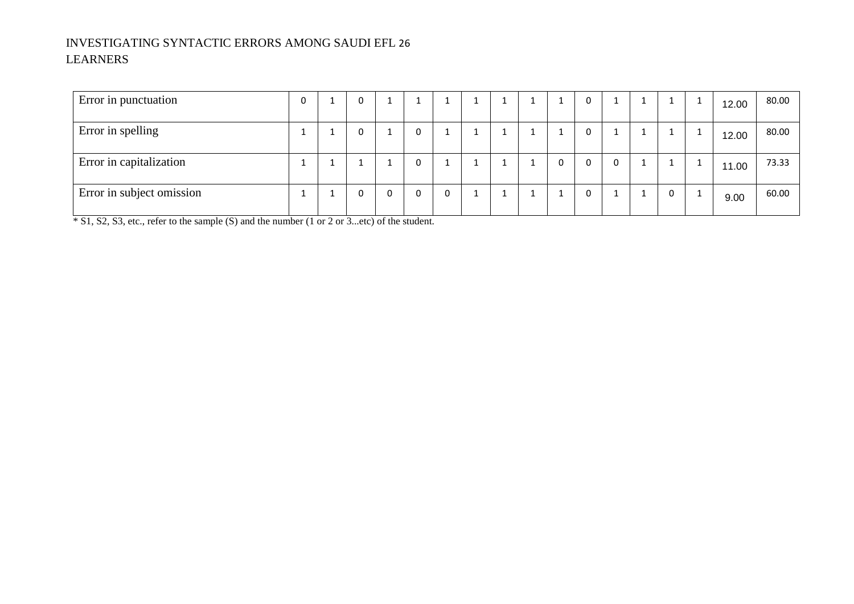## INVESTIGATING SYNTACTIC ERRORS AMONG SAUDI EFL 26 LEARNERS

| Error in punctuation      | 0 |  |   |   |   |  | ᆠ | <b>T</b> | 0        |             | <b>T</b> | 12.00 | 80.00 |
|---------------------------|---|--|---|---|---|--|---|----------|----------|-------------|----------|-------|-------|
| Error in spelling         |   |  |   | 0 |   |  |   | J.       | $\Omega$ |             |          | 12.00 | 80.00 |
| Error in capitalization   | ᅩ |  |   | 0 |   |  | ÷ | 0        | $\Omega$ | $\mathbf 0$ |          | 11.00 | 73.33 |
| Error in subject omission |   |  | 0 | 0 | 0 |  |   | J.       | $\Omega$ |             | 0        | 9.00  | 60.00 |

 $\frac{1}{\sqrt{1 + 1} + 1}$   $\frac{1}{\sqrt{1 + 1} + 1}$   $\frac{1}{\sqrt{1 + 1} + 1}$   $\frac{1}{\sqrt{1 + 1} + 1}$   $\frac{1}{\sqrt{1 + 1} + 1}$   $\frac{1}{\sqrt{1 + 1} + 1}$   $\frac{1}{\sqrt{1 + 1} + 1}$   $\frac{1}{\sqrt{1 + 1} + 1}$   $\frac{1}{\sqrt{1 + 1} + 1}$   $\frac{1}{\sqrt{1 + 1} + 1}$   $\frac{1}{\sqrt{1 + 1} + 1}$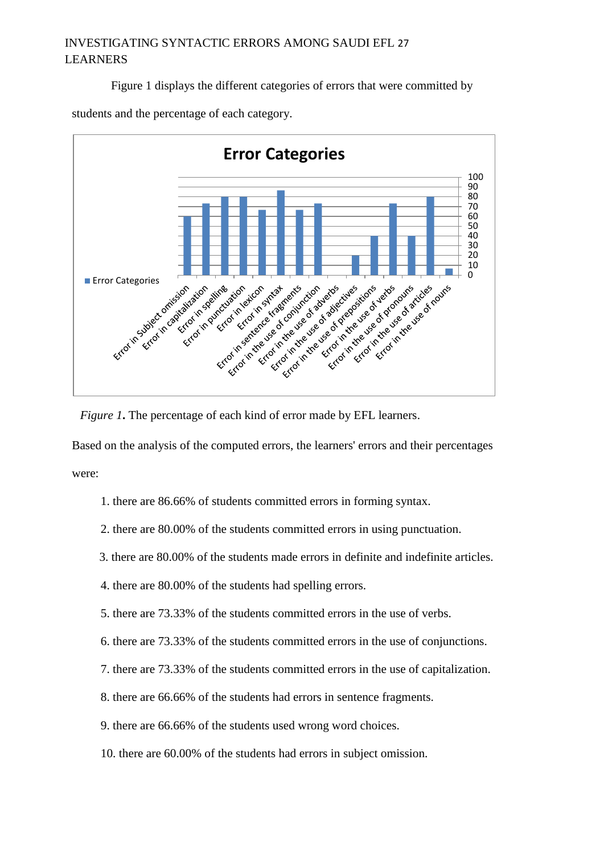## INVESTIGATING SYNTACTIC ERRORS AMONG SAUDI EFL 27 LEARNERS

Figure 1 displays the different categories of errors that were committed by





*Figure 1***.** The percentage of each kind of error made by EFL learners.

Based on the analysis of the computed errors, the learners' errors and their percentages were:

- 1. there are 86.66% of students committed errors in forming syntax.
- 2. there are 80.00% of the students committed errors in using punctuation.
- 3. there are 80.00% of the students made errors in definite and indefinite articles.
- 4. there are 80.00% of the students had spelling errors.
- 5. there are 73.33% of the students committed errors in the use of verbs.
- 6. there are 73.33% of the students committed errors in the use of conjunctions.
- 7. there are 73.33% of the students committed errors in the use of capitalization.
- 8. there are 66.66% of the students had errors in sentence fragments.
- 9. there are 66.66% of the students used wrong word choices.
- 10. there are 60.00% of the students had errors in subject omission.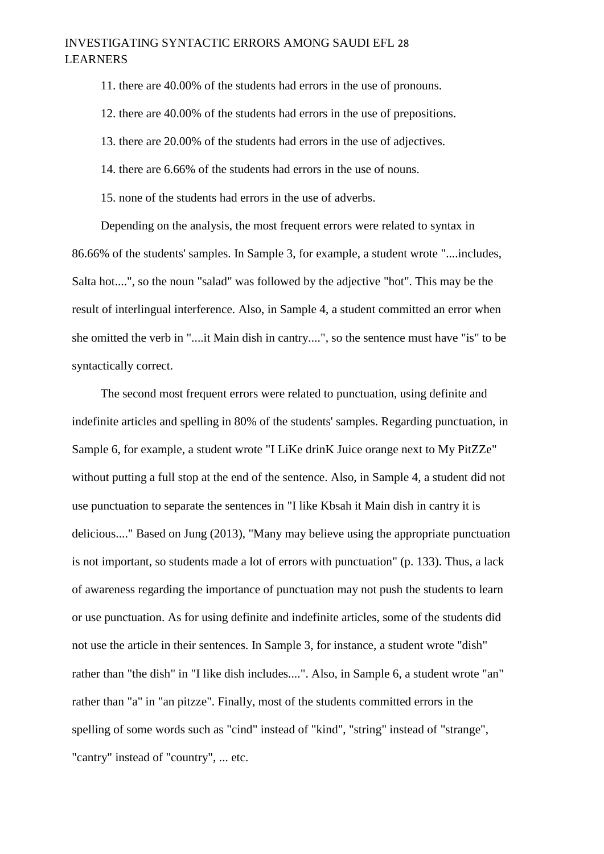### INVESTIGATING SYNTACTIC ERRORS AMONG SAUDI EFL 28 LEARNERS

11. there are 40.00% of the students had errors in the use of pronouns.

12. there are 40.00% of the students had errors in the use of prepositions.

13. there are 20.00% of the students had errors in the use of adjectives.

14. there are 6.66% of the students had errors in the use of nouns.

15. none of the students had errors in the use of adverbs.

Depending on the analysis, the most frequent errors were related to syntax in 86.66% of the students' samples. In Sample 3, for example, a student wrote "....includes, Salta hot....", so the noun "salad" was followed by the adjective "hot". This may be the result of interlingual interference. Also, in Sample 4, a student committed an error when she omitted the verb in "....it Main dish in cantry....", so the sentence must have "is" to be syntactically correct.

The second most frequent errors were related to punctuation, using definite and indefinite articles and spelling in 80% of the students' samples. Regarding punctuation, in Sample 6, for example, a student wrote "I LiKe drinK Juice orange next to My PitZZe" without putting a full stop at the end of the sentence. Also, in Sample 4, a student did not use punctuation to separate the sentences in "I like Kbsah it Main dish in cantry it is delicious...." Based on Jung (2013), "Many may believe using the appropriate punctuation is not important, so students made a lot of errors with punctuation" (p. 133). Thus, a lack of awareness regarding the importance of punctuation may not push the students to learn or use punctuation. As for using definite and indefinite articles, some of the students did not use the article in their sentences. In Sample 3, for instance, a student wrote "dish" rather than "the dish" in "I like dish includes....". Also, in Sample 6, a student wrote "an" rather than "a" in "an pitzze". Finally, most of the students committed errors in the spelling of some words such as "cind" instead of "kind", "string" instead of "strange", "cantry" instead of "country", ... etc.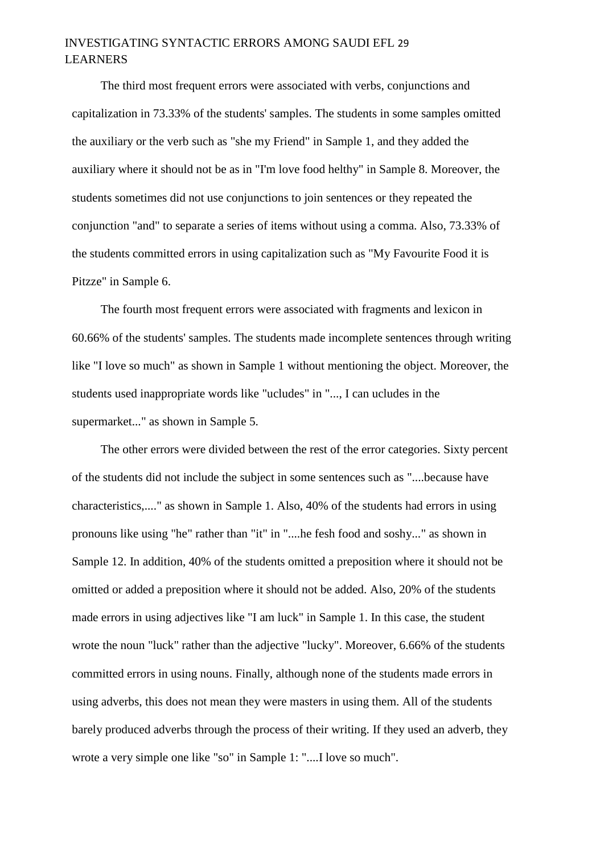## INVESTIGATING SYNTACTIC ERRORS AMONG SAUDI EFL 29 LEARNERS

The third most frequent errors were associated with verbs, conjunctions and capitalization in 73.33% of the students' samples. The students in some samples omitted the auxiliary or the verb such as "she my Friend" in Sample 1, and they added the auxiliary where it should not be as in "I'm love food helthy" in Sample 8. Moreover, the students sometimes did not use conjunctions to join sentences or they repeated the conjunction "and" to separate a series of items without using a comma. Also, 73.33% of the students committed errors in using capitalization such as "My Favourite Food it is Pitzze" in Sample 6.

The fourth most frequent errors were associated with fragments and lexicon in 60.66% of the students' samples. The students made incomplete sentences through writing like "I love so much" as shown in Sample 1 without mentioning the object. Moreover, the students used inappropriate words like "ucludes" in "..., I can ucludes in the supermarket..." as shown in Sample 5.

The other errors were divided between the rest of the error categories. Sixty percent of the students did not include the subject in some sentences such as "....because have characteristics,...." as shown in Sample 1. Also, 40% of the students had errors in using pronouns like using "he" rather than "it" in "....he fesh food and soshy..." as shown in Sample 12. In addition, 40% of the students omitted a preposition where it should not be omitted or added a preposition where it should not be added. Also, 20% of the students made errors in using adjectives like "I am luck" in Sample 1. In this case, the student wrote the noun "luck" rather than the adjective "lucky". Moreover, 6.66% of the students committed errors in using nouns. Finally, although none of the students made errors in using adverbs, this does not mean they were masters in using them. All of the students barely produced adverbs through the process of their writing. If they used an adverb, they wrote a very simple one like "so" in Sample 1: "....I love so much".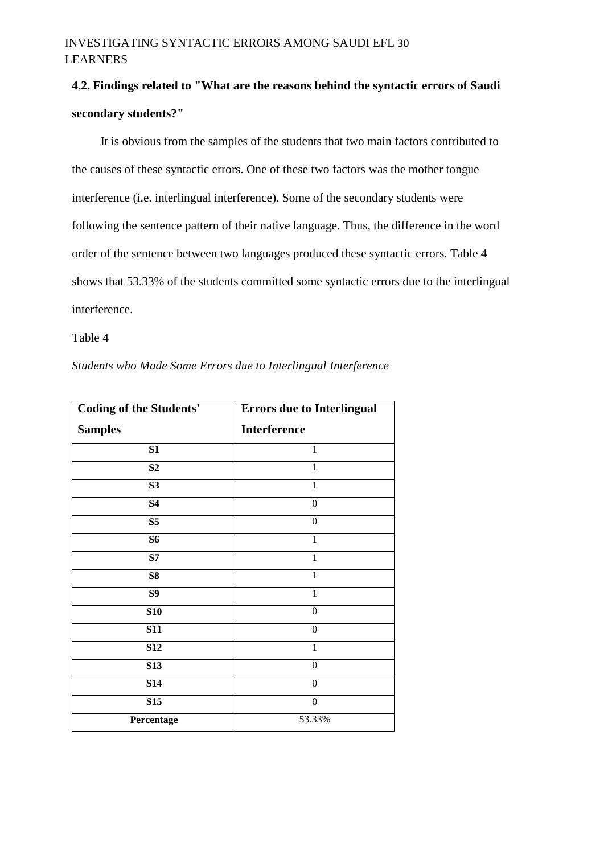## INVESTIGATING SYNTACTIC ERRORS AMONG SAUDI EFL 30 LEARNERS

# **4.2. Findings related to "What are the reasons behind the syntactic errors of Saudi secondary students?"**

It is obvious from the samples of the students that two main factors contributed to the causes of these syntactic errors. One of these two factors was the mother tongue interference (i.e. interlingual interference). Some of the secondary students were following the sentence pattern of their native language. Thus, the difference in the word order of the sentence between two languages produced these syntactic errors. Table 4 shows that 53.33% of the students committed some syntactic errors due to the interlingual interference.

#### Table 4

*Students who Made Some Errors due to Interlingual Interference*

| <b>Coding of the Students'</b> | <b>Errors due to Interlingual</b> |  |
|--------------------------------|-----------------------------------|--|
| <b>Samples</b>                 | <b>Interference</b>               |  |
| S1                             | $\mathbf{1}$                      |  |
| S <sub>2</sub>                 | 1                                 |  |
| S <sub>3</sub>                 | $\mathbf{1}$                      |  |
| <b>S4</b>                      | $\theta$                          |  |
| S <sub>5</sub>                 | $\overline{0}$                    |  |
| <b>S6</b>                      | 1                                 |  |
| S7                             | 1                                 |  |
| <b>S8</b>                      | 1                                 |  |
| S <sub>9</sub>                 | $\mathbf{1}$                      |  |
| <b>S10</b>                     | $\theta$                          |  |
| <b>S11</b>                     | $\mathbf{0}$                      |  |
| <b>S12</b>                     | $\mathbf{1}$                      |  |
| <b>S13</b>                     | $\mathbf{0}$                      |  |
| <b>S14</b>                     | $\mathbf{0}$                      |  |
| S <sub>15</sub>                | $\boldsymbol{0}$                  |  |
| Percentage                     | 53.33%                            |  |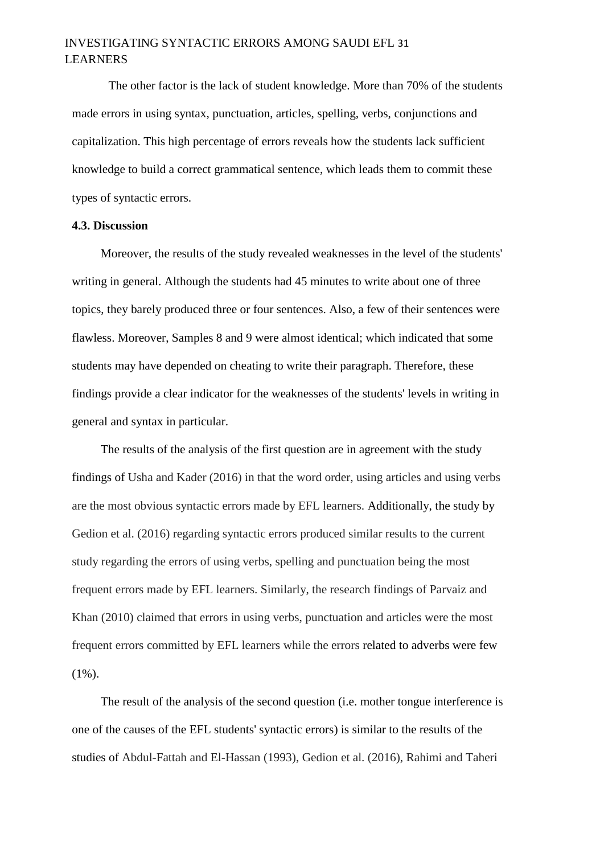## INVESTIGATING SYNTACTIC ERRORS AMONG SAUDI EFL 31 LEARNERS

The other factor is the lack of student knowledge. More than 70% of the students made errors in using syntax, punctuation, articles, spelling, verbs, conjunctions and capitalization. This high percentage of errors reveals how the students lack sufficient knowledge to build a correct grammatical sentence, which leads them to commit these types of syntactic errors.

#### **4.3. Discussion**

Moreover, the results of the study revealed weaknesses in the level of the students' writing in general. Although the students had 45 minutes to write about one of three topics, they barely produced three or four sentences. Also, a few of their sentences were flawless. Moreover, Samples 8 and 9 were almost identical; which indicated that some students may have depended on cheating to write their paragraph. Therefore, these findings provide a clear indicator for the weaknesses of the students' levels in writing in general and syntax in particular.

The results of the analysis of the first question are in agreement with the study findings of Usha and Kader (2016) in that the word order, using articles and using verbs are the most obvious syntactic errors made by EFL learners. Additionally, the study by Gedion et al. (2016) regarding syntactic errors produced similar results to the current study regarding the errors of using verbs, spelling and punctuation being the most frequent errors made by EFL learners. Similarly, the research findings of Parvaiz and Khan (2010) claimed that errors in using verbs, punctuation and articles were the most frequent errors committed by EFL learners while the errors related to adverbs were few  $(1\%)$ .

The result of the analysis of the second question (i.e. mother tongue interference is one of the causes of the EFL students' syntactic errors) is similar to the results of the studies of Abdul-Fattah and El-Hassan (1993), Gedion et al. (2016), Rahimi and Taheri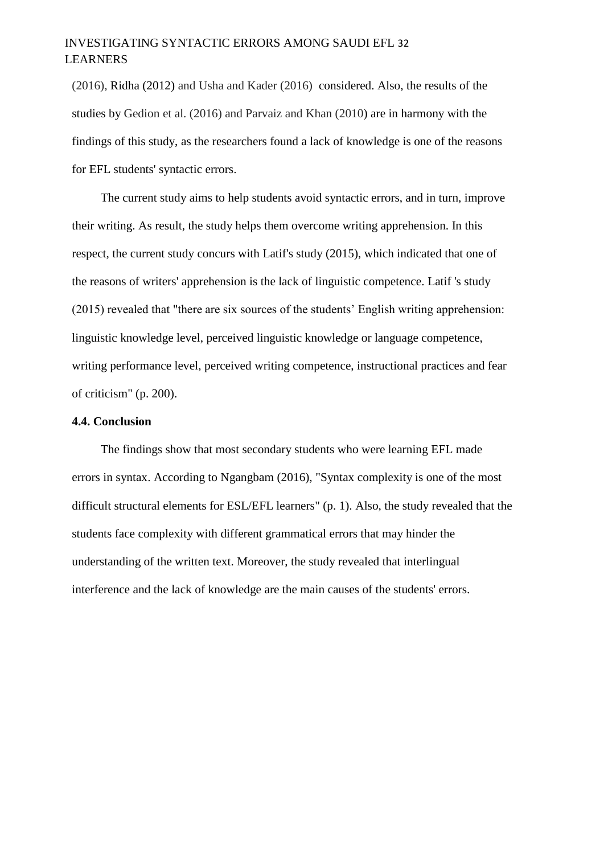## INVESTIGATING SYNTACTIC ERRORS AMONG SAUDI EFL 32 LEARNERS

(2016), Ridha (2012) and Usha and Kader (2016) considered. Also, the results of the studies by Gedion et al. (2016) and Parvaiz and Khan (2010) are in harmony with the findings of this study, as the researchers found a lack of knowledge is one of the reasons for EFL students' syntactic errors.

The current study aims to help students avoid syntactic errors, and in turn, improve their writing. As result, the study helps them overcome writing apprehension. In this respect, the current study concurs with Latif's study (2015), which indicated that one of the reasons of writers' apprehension is the lack of linguistic competence. Latif 's study (2015) revealed that "there are six sources of the students' English writing apprehension: linguistic knowledge level, perceived linguistic knowledge or language competence, writing performance level, perceived writing competence, instructional practices and fear of criticism" (p. 200).

#### **4.4. Conclusion**

The findings show that most secondary students who were learning EFL made errors in syntax. According to Ngangbam (2016), "Syntax complexity is one of the most difficult structural elements for ESL/EFL learners" (p. 1). Also, the study revealed that the students face complexity with different grammatical errors that may hinder the understanding of the written text. Moreover, the study revealed that interlingual interference and the lack of knowledge are the main causes of the students' errors.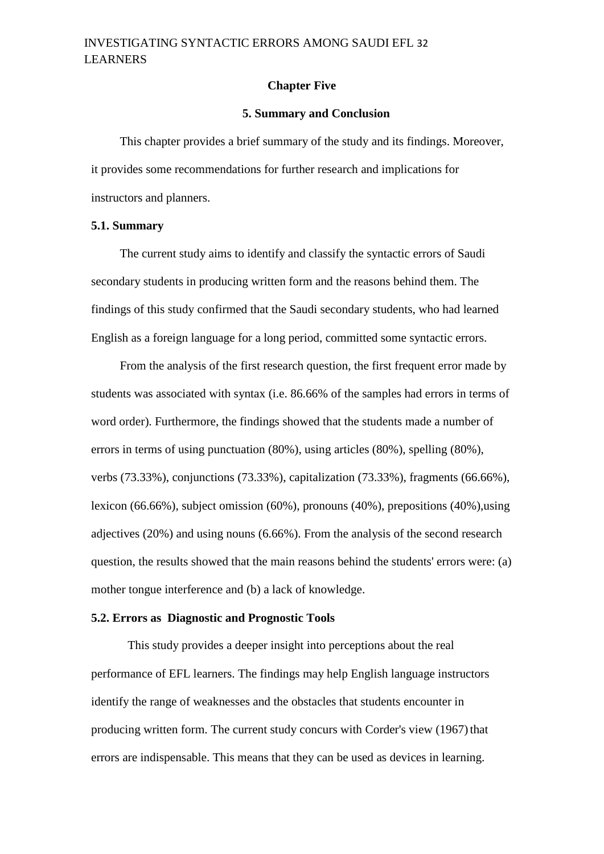#### **Chapter Five**

#### **5. Summary and Conclusion**

This chapter provides a brief summary of the study and its findings. Moreover, it provides some recommendations for further research and implications for instructors and planners.

#### **5.1. Summary**

The current study aims to identify and classify the syntactic errors of Saudi secondary students in producing written form and the reasons behind them. The findings of this study confirmed that the Saudi secondary students, who had learned English as a foreign language for a long period, committed some syntactic errors.

From the analysis of the first research question, the first frequent error made by students was associated with syntax (i.e. 86.66% of the samples had errors in terms of word order). Furthermore, the findings showed that the students made a number of errors in terms of using punctuation (80%), using articles (80%), spelling (80%), verbs (73.33%), conjunctions (73.33%), capitalization (73.33%), fragments (66.66%), lexicon (66.66%), subject omission (60%), pronouns (40%), prepositions (40%),using adjectives (20%) and using nouns (6.66%). From the analysis of the second research question, the results showed that the main reasons behind the students' errors were: (a) mother tongue interference and (b) a lack of knowledge.

#### **5.2. Errors as Diagnostic and Prognostic Tools**

This study provides a deeper insight into perceptions about the real performance of EFL learners. The findings may help English language instructors identify the range of weaknesses and the obstacles that students encounter in producing written form. The current study concurs with Corder's view (1967) that errors are indispensable. This means that they can be used as devices in learning.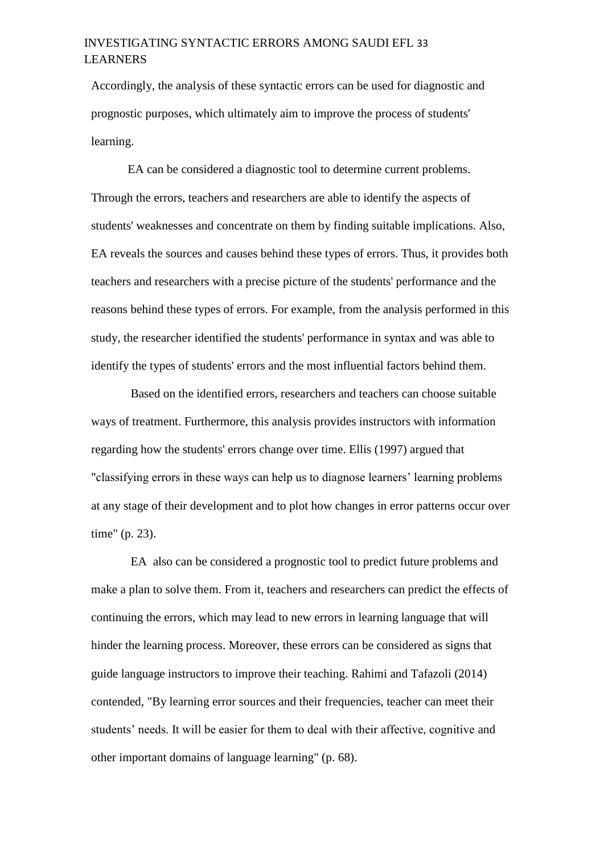## INVESTIGATING SYNTACTIC ERRORS AMONG SAUDI EFL 33 LEARNERS

Accordingly, the analysis of these syntactic errors can be used for diagnostic and prognostic purposes, which ultimately aim to improve the process of students' learning.

EA can be considered a diagnostic tool to determine current problems. Through the errors, teachers and researchers are able to identify the aspects of students' weaknesses and concentrate on them by finding suitable implications. Also, EA reveals the sources and causes behind these types of errors. Thus, it provides both teachers and researchers with a precise picture of the students' performance and the reasons behind these types of errors. For example, from the analysis performed in this study, the researcher identified the students' performance in syntax and was able to identify the types of students' errors and the most influential factors behind them.

Based on the identified errors, researchers and teachers can choose suitable ways of treatment. Furthermore, this analysis provides instructors with information regarding how the students' errors change over time. Ellis (1997) argued that "classifying errors in these ways can help us to diagnose learners' learning problems at any stage of their development and to plot how changes in error patterns occur over time" (p. 23).

EA also can be considered a prognostic tool to predict future problems and make a plan to solve them. From it, teachers and researchers can predict the effects of continuing the errors, which may lead to new errors in learning language that will hinder the learning process. Moreover, these errors can be considered as signs that guide language instructors to improve their teaching. Rahimi and Tafazoli (2014) contended, "By learning error sources and their frequencies, teacher can meet their students' needs. It will be easier for them to deal with their affective, cognitive and other important domains of language learning" (p. 68).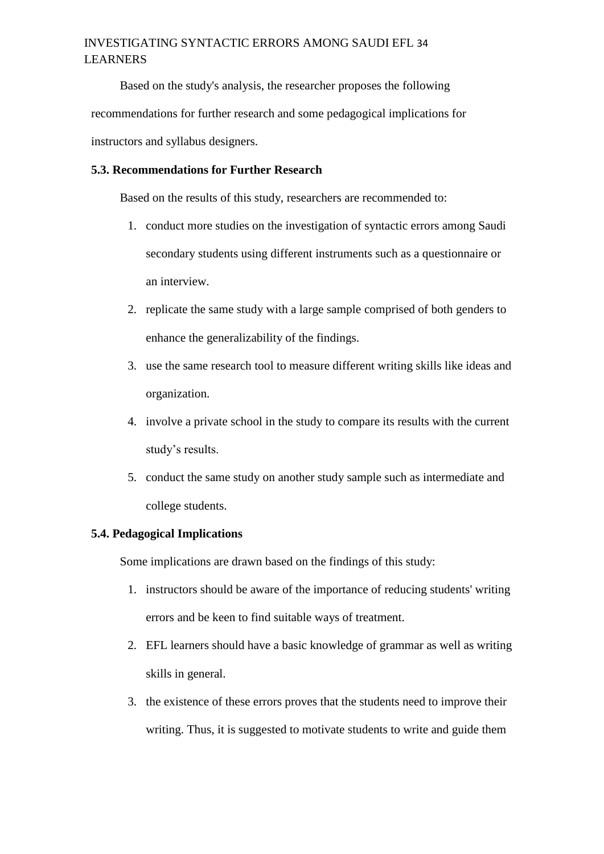## INVESTIGATING SYNTACTIC ERRORS AMONG SAUDI EFL 34 LEARNERS

Based on the study's analysis, the researcher proposes the following recommendations for further research and some pedagogical implications for instructors and syllabus designers.

### **5.3. Recommendations for Further Research**

Based on the results of this study, researchers are recommended to:

- 1. conduct more studies on the investigation of syntactic errors among Saudi secondary students using different instruments such as a questionnaire or an interview.
- 2. replicate the same study with a large sample comprised of both genders to enhance the generalizability of the findings.
- 3. use the same research tool to measure different writing skills like ideas and organization.
- 4. involve a private school in the study to compare its results with the current study's results.
- 5. conduct the same study on another study sample such as intermediate and college students.

### **5.4. Pedagogical Implications**

Some implications are drawn based on the findings of this study:

- 1. instructors should be aware of the importance of reducing students' writing errors and be keen to find suitable ways of treatment.
- 2. EFL learners should have a basic knowledge of grammar as well as writing skills in general.
- 3. the existence of these errors proves that the students need to improve their writing. Thus, it is suggested to motivate students to write and guide them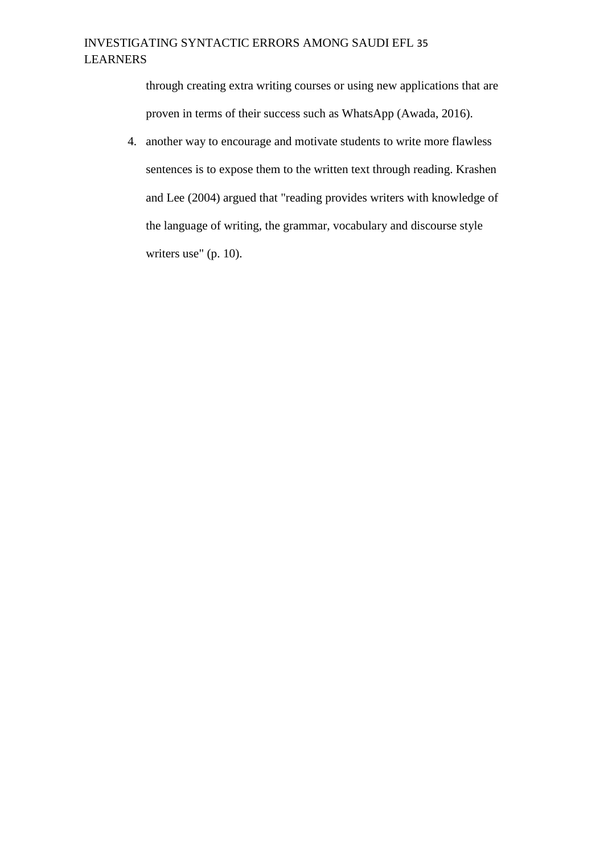through creating extra writing courses or using new applications that are proven in terms of their success such as WhatsApp (Awada, 2016).

4. another way to encourage and motivate students to write more flawless sentences is to expose them to the written text through reading. Krashen and Lee (2004) argued that "reading provides writers with knowledge of the language of writing, the grammar, vocabulary and discourse style writers use" (p. 10).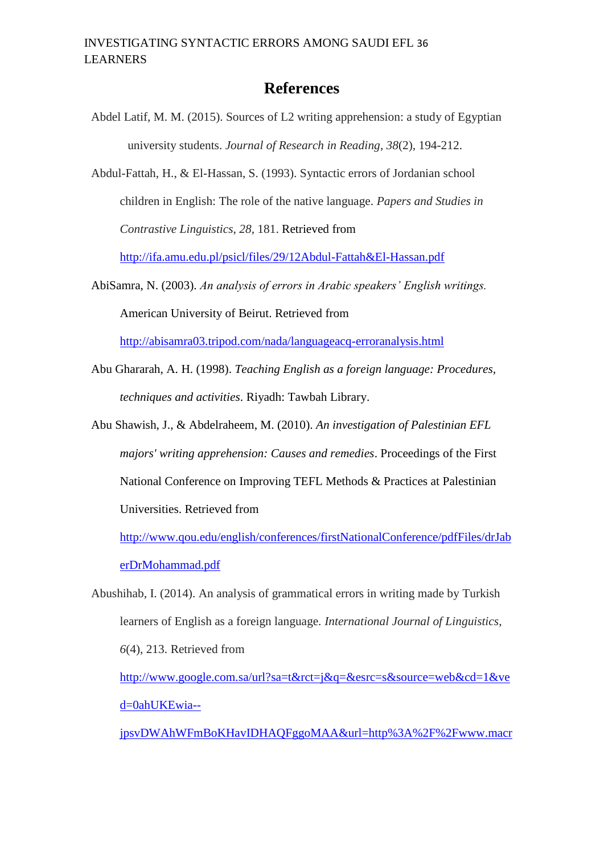## **References**

- Abdel Latif, M. M. (2015). Sources of L2 writing apprehension: a study of Egyptian university students. *Journal of Research in Reading*, *38*(2), 194-212.
- Abdul-Fattah, H., & El-Hassan, S. (1993). Syntactic errors of Jordanian school children in English: The role of the native language. *Papers and Studies in Contrastive Linguistics*, *28*, 181. Retrieved from

<http://ifa.amu.edu.pl/psicl/files/29/12Abdul-Fattah&El-Hassan.pdf>

AbiSamra, N. (2003). *An analysis of errors in Arabic speakers' English writings.*  American University of Beirut. Retrieved from

<http://abisamra03.tripod.com/nada/languageacq-erroranalysis.html>

- Abu Ghararah, A. H. (1998). *Teaching English as a foreign language: Procedures, techniques and activities*. Riyadh: Tawbah Library.
- Abu Shawish, J., & Abdelraheem, M. (2010). *An investigation of Palestinian EFL majors' writing apprehension: Causes and remedies*. Proceedings of the First National Conference on Improving TEFL Methods & Practices at Palestinian Universities. Retrieved from

[http://www.qou.edu/english/conferences/firstNationalConference/pdfFiles/drJab](http://www.qou.edu/english/conferences/firstNationalConference/pdfFiles/drJaberDrMohammad.pdf.) [erDrMohammad.pdf](http://www.qou.edu/english/conferences/firstNationalConference/pdfFiles/drJaberDrMohammad.pdf.)

Abushihab, I. (2014). An analysis of grammatical errors in writing made by Turkish learners of English as a foreign language. *International Journal of Linguistics*, *6*(4), 213. Retrieved from

[http://www.google.com.sa/url?sa=t&rct=j&q=&esrc=s&source=web&cd=1&ve](http://www.google.com.sa/url?sa=t&rct=j&q=&esrc=s&source=web&cd=1&ved=0ahUKEwia--jpsvDWAhWFmBoKHavIDHAQFggoMAA&url=http%3A%2F%2Fwww.macrothink.org%2Fjournal%2Findex.php%2Fijl%2Farticle%2FviewFile%2F6190%2Fpdf_126&usg=AOvVaw1MCGZuyq2ufGXlDUVUrlQR) [d=0ahUKEwia--](http://www.google.com.sa/url?sa=t&rct=j&q=&esrc=s&source=web&cd=1&ved=0ahUKEwia--jpsvDWAhWFmBoKHavIDHAQFggoMAA&url=http%3A%2F%2Fwww.macrothink.org%2Fjournal%2Findex.php%2Fijl%2Farticle%2FviewFile%2F6190%2Fpdf_126&usg=AOvVaw1MCGZuyq2ufGXlDUVUrlQR)

[jpsvDWAhWFmBoKHavIDHAQFggoMAA&url=http%3A%2F%2Fwww.macr](http://www.google.com.sa/url?sa=t&rct=j&q=&esrc=s&source=web&cd=1&ved=0ahUKEwia--jpsvDWAhWFmBoKHavIDHAQFggoMAA&url=http%3A%2F%2Fwww.macrothink.org%2Fjournal%2Findex.php%2Fijl%2Farticle%2FviewFile%2F6190%2Fpdf_126&usg=AOvVaw1MCGZuyq2ufGXlDUVUrlQR)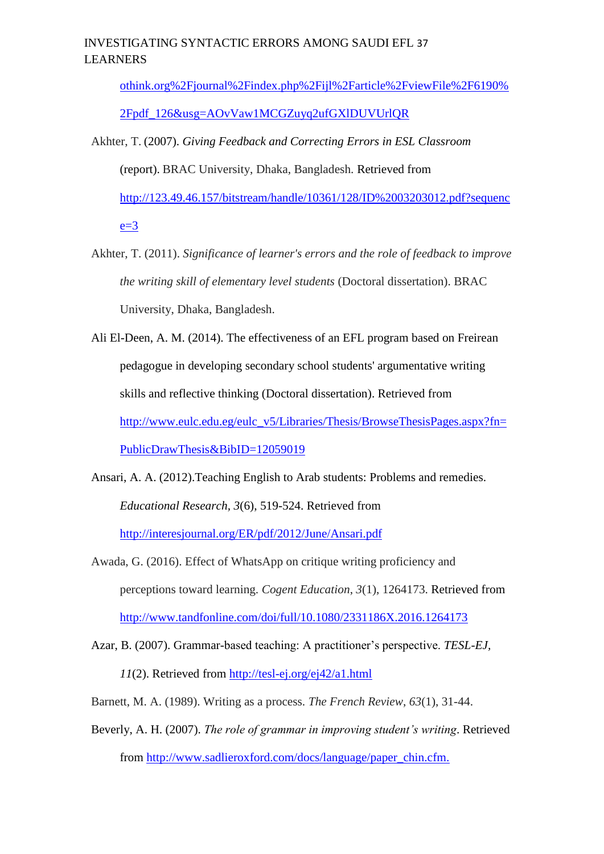## INVESTIGATING SYNTACTIC ERRORS AMONG SAUDI EFL 37 LEARNERS

[othink.org%2Fjournal%2Findex.php%2Fijl%2Farticle%2FviewFile%2F6190%](http://www.google.com.sa/url?sa=t&rct=j&q=&esrc=s&source=web&cd=1&ved=0ahUKEwia--jpsvDWAhWFmBoKHavIDHAQFggoMAA&url=http%3A%2F%2Fwww.macrothink.org%2Fjournal%2Findex.php%2Fijl%2Farticle%2FviewFile%2F6190%2Fpdf_126&usg=AOvVaw1MCGZuyq2ufGXlDUVUrlQR)

[2Fpdf\\_126&usg=AOvVaw1MCGZuyq2ufGXlDUVUrlQR](http://www.google.com.sa/url?sa=t&rct=j&q=&esrc=s&source=web&cd=1&ved=0ahUKEwia--jpsvDWAhWFmBoKHavIDHAQFggoMAA&url=http%3A%2F%2Fwww.macrothink.org%2Fjournal%2Findex.php%2Fijl%2Farticle%2FviewFile%2F6190%2Fpdf_126&usg=AOvVaw1MCGZuyq2ufGXlDUVUrlQR)

- Akhter, T. (2007). *Giving Feedback and Correcting Errors in ESL Classroom* (report). BRAC University, Dhaka, Bangladesh. Retrieved from [http://123.49.46.157/bitstream/handle/10361/128/ID%2003203012.pdf?sequenc](http://123.49.46.157/bitstream/handle/10361/128/ID%2003203012.pdf?sequence=3)  $e=3$
- Akhter, T. (2011). *Significance of learner's errors and the role of feedback to improve the writing skill of elementary level students* (Doctoral dissertation). BRAC University, Dhaka, Bangladesh.
- Ali El-Deen, A. M. (2014). The effectiveness of an EFL program based on Freirean pedagogue in developing secondary school students' argumentative writing skills and reflective thinking (Doctoral dissertation). Retrieved from [http://www.eulc.edu.eg/eulc\\_v5/Libraries/Thesis/BrowseThesisPages.aspx?fn=](http://www.eulc.edu.eg/eulc_v5/Libraries/Thesis/BrowseThesisPages.aspx?fn=PublicDrawThesis&BibID=12059019) [PublicDrawThesis&BibID=12059019](http://www.eulc.edu.eg/eulc_v5/Libraries/Thesis/BrowseThesisPages.aspx?fn=PublicDrawThesis&BibID=12059019)
- Ansari, A. A. (2012).Teaching English to Arab students: Problems and remedies. *Educational Research, 3*(6), 519-524. Retrieved from <http://interesjournal.org/ER/pdf/2012/June/Ansari.pdf>
- Awada, G. (2016). Effect of WhatsApp on critique writing proficiency and perceptions toward learning. *Cogent Education*, *3*(1), 1264173. Retrieved from <http://www.tandfonline.com/doi/full/10.1080/2331186X.2016.1264173>
- Azar, B. (2007). Grammar-based teaching: A practitioner's perspective. *TESL-EJ, 11*(2). Retrieved from<http://tesl-ej.org/ej42/a1.html>
- Barnett, M. A. (1989). Writing as a process. *The French Review*, *63*(1), 31-44.
- Beverly, A. H. (2007). *The role of grammar in improving student's writing*. Retrieved from [http://www.sadlieroxford.com/docs/language/paper\\_chin.cfm.](http://www.sadlieroxford.com/docs/language/paper_chin.cfm.)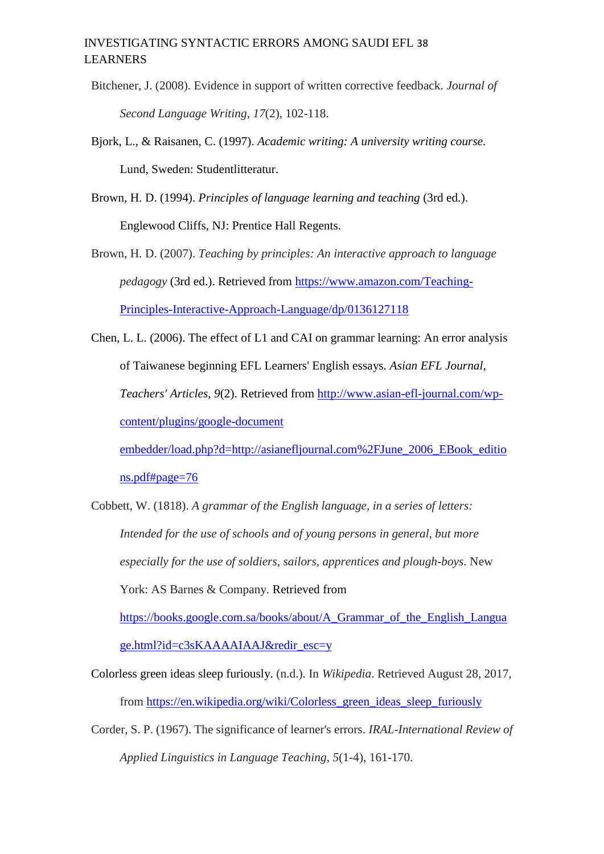- Bitchener, J. (2008). Evidence in support of written corrective feedback. *Journal of Second Language Writing*, *17*(2), 102-118.
- Bjork, L., & Raisanen, C. (1997). *Academic writing: A university writing course.*  Lund, Sweden: Studentlitteratur.

Brown, H. D. (1994). *Principles of language learning and teaching* (3rd ed.). Englewood Cliffs, NJ: Prentice Hall Regents.

Brown, H. D. (2007). *Teaching by principles: An interactive approach to language pedagogy* (3rd ed.). Retrieved from [https://www.amazon.com/Teaching-](https://www.amazon.com/Teaching-Principles-Interactive-Approach-Language/dp/0136127118)[Principles-Interactive-Approach-Language/dp/0136127118](https://www.amazon.com/Teaching-Principles-Interactive-Approach-Language/dp/0136127118)

Chen, L. L. (2006). The effect of L1 and CAI on grammar learning: An error analysis of Taiwanese beginning EFL Learners' English essays. *Asian EFL Journal*, *Teachers' Articles*, *9*(2). Retrieved from [http://www.asian-efl-journal.com/wp](http://www.asian-efl-journal.com/wp-content/plugins/google-document-embedder/load.php?d=http://asian-efl-journal.com%2FJune_2006_EBook_editions.pdf#page=76)[content/plugins/google-document](http://www.asian-efl-journal.com/wp-content/plugins/google-document-embedder/load.php?d=http://asian-efl-journal.com%2FJune_2006_EBook_editions.pdf#page=76) 

[embedder/load.php?d=http://asianefljournal.com%2FJune\\_2006\\_EBook\\_editio](http://www.asian-efl-journal.com/wp-content/plugins/google-document-embedder/load.php?d=http://asian-efl-journal.com%2FJune_2006_EBook_editions.pdf#page=76) [ns.pdf#page=76](http://www.asian-efl-journal.com/wp-content/plugins/google-document-embedder/load.php?d=http://asian-efl-journal.com%2FJune_2006_EBook_editions.pdf#page=76)

Cobbett, W. (1818). *A grammar of the English language, in a series of letters: Intended for the use of schools and of young persons in general, but more especially for the use of soldiers, sailors, apprentices and plough-boys*. New York: AS Barnes & Company. Retrieved from [https://books.google.com.sa/books/about/A\\_Grammar\\_of\\_the\\_English\\_Langua](https://books.google.com.sa/books/about/A_Grammar_of_the_English_Language.html?id=c3sKAAAAIAAJ&redir_esc=y)

[ge.html?id=c3sKAAAAIAAJ&redir\\_esc=y](https://books.google.com.sa/books/about/A_Grammar_of_the_English_Language.html?id=c3sKAAAAIAAJ&redir_esc=y)

- Colorless green ideas sleep furiously. (n.d.). In *Wikipedia*. Retrieved August 28, 2017, from [https://en.wikipedia.org/wiki/Colorless\\_green\\_ideas\\_sleep\\_furiously](https://en.wikipedia.org/wiki/Colorless_green_ideas_sleep_furiously)
- Corder, S. P. (1967). The significance of learner's errors. *IRAL-International Review of Applied Linguistics in Language Teaching*, *5*(1-4), 161-170.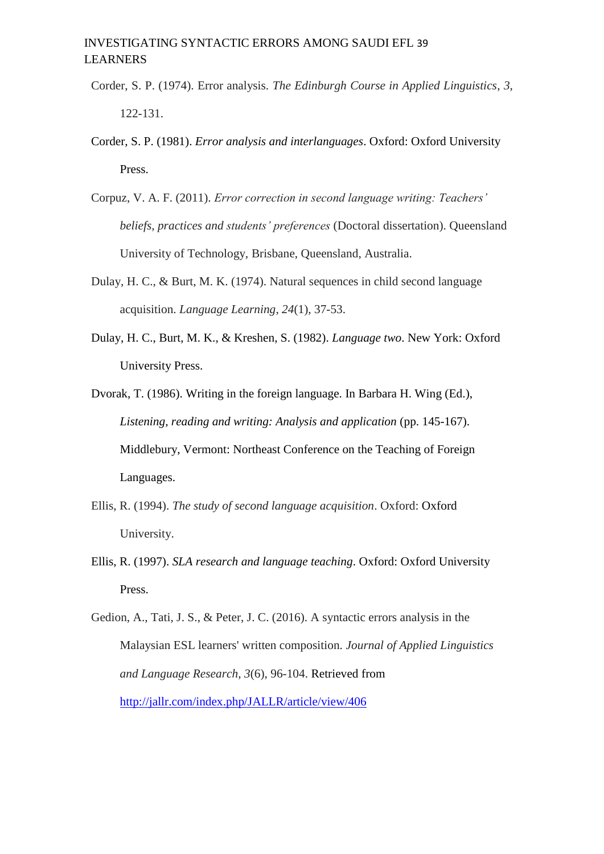## INVESTIGATING SYNTACTIC ERRORS AMONG SAUDI EFL 39 LEARNERS

- Corder, S. P. (1974). Error analysis. *The Edinburgh Course in Applied Linguistics*, *3*, 122-131.
- Corder, S. P. (1981). *Error analysis and interlanguages*. Oxford: Oxford University Press.
- Corpuz, V. A. F. (2011). *Error correction in second language writing: Teachers' beliefs, practices and students' preferences* (Doctoral dissertation). Queensland University of Technology, Brisbane, Queensland, Australia.
- Dulay, H. C., & Burt, M. K. (1974). Natural sequences in child second language acquisition. *Language Learning*, *24*(1), 37-53.
- Dulay, H. C., Burt, M. K., & Kreshen, S. (1982). *Language two*. New York: Oxford University Press.
- Dvorak, T. (1986). Writing in the foreign language. In Barbara H. Wing (Ed.), *Listening, reading and writing: Analysis and application* (pp. 145-167). Middlebury, Vermont: Northeast Conference on the Teaching of Foreign Languages.
- Ellis, R. (1994). *The study of second language acquisition*. Oxford: Oxford University.
- Ellis, R. (1997). *SLA research and language teaching*. Oxford: Oxford University Press.
- Gedion, A., Tati, J. S., & Peter, J. C. (2016). A syntactic errors analysis in the Malaysian ESL learners' written composition. *Journal of Applied Linguistics and Language Research*, *3*(6), 96-104. Retrieved from <http://jallr.com/index.php/JALLR/article/view/406>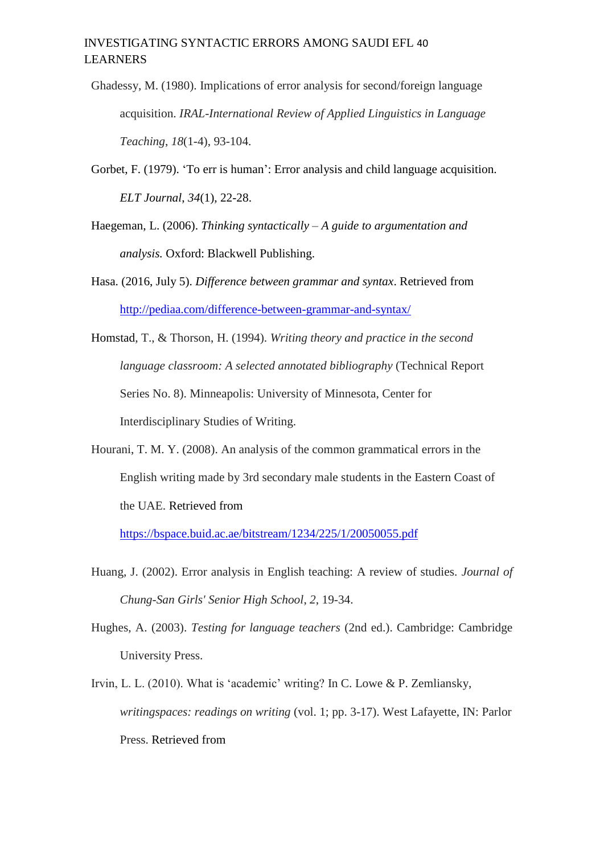## INVESTIGATING SYNTACTIC ERRORS AMONG SAUDI EFL 41 LEARNERS

- Ghadessy, M. (1980). Implications of error analysis for second/foreign language acquisition. *IRAL-International Review of Applied Linguistics in Language Teaching*, *18*(1-4), 93-104.
- Gorbet, F. (1979). 'To err is human': Error analysis and child language acquisition. *ELT Journal*, *34*(1), 22-28.
- Haegeman, L. (2006). *Thinking syntactically – A guide to argumentation and analysis.* Oxford: Blackwell Publishing.
- Hasa. (2016, July 5). *Difference between grammar and syntax*. Retrieved from <http://pediaa.com/difference-between-grammar-and-syntax/>

Homstad, T., & Thorson, H. (1994). *Writing theory and practice in the second language classroom: A selected annotated bibliography* (Technical Report Series No. 8). Minneapolis: University of Minnesota, Center for Interdisciplinary Studies of Writing.

Hourani, T. M. Y. (2008). An analysis of the common grammatical errors in the English writing made by 3rd secondary male students in the Eastern Coast of the UAE. Retrieved from

<https://bspace.buid.ac.ae/bitstream/1234/225/1/20050055.pdf>

- Huang, J. (2002). Error analysis in English teaching: A review of studies. *Journal of Chung-San Girls' Senior High School*, *2*, 19-34.
- Hughes, A. (2003). *Testing for language teachers* (2nd ed.). Cambridge: Cambridge University Press.
- Irvin, L. L. (2010). What is 'academic' writing? In C. Lowe & P. Zemliansky, *writingspaces: readings on writing* (vol. 1; pp. 3-17). West Lafayette, IN: Parlor Press. Retrieved from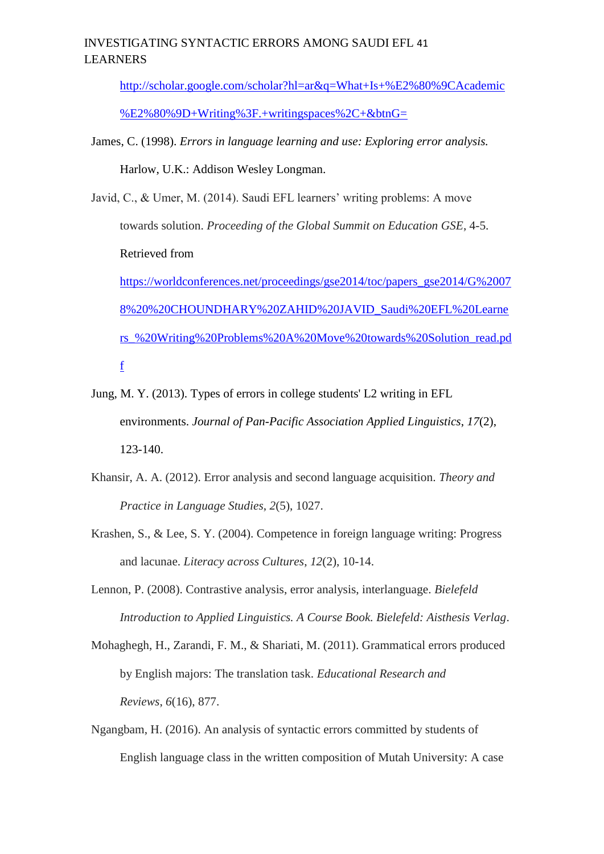## INVESTIGATING SYNTACTIC ERRORS AMONG SAUDI EFL 41 LEARNERS

[http://scholar.google.com/scholar?hl=ar&q=What+Is+%E2%80%9CAcademic](http://scholar.google.com/scholar?hl=ar&q=What+Is+%E2%80%9CAcademic%E2%80%9D+Writing%3F.+writingspaces%2C+&btnG=)

[%E2%80%9D+Writing%3F.+writingspaces%2C+&btnG=](http://scholar.google.com/scholar?hl=ar&q=What+Is+%E2%80%9CAcademic%E2%80%9D+Writing%3F.+writingspaces%2C+&btnG=)

- James, C. (1998). *Errors in language learning and use: Exploring error analysis.* Harlow, U.K.: Addison Wesley Longman.
- Javid, C., & Umer, M. (2014). Saudi EFL learners' writing problems: A move towards solution. *Proceeding of the Global Summit on Education GSE*, 4-5. Retrieved from [https://worldconferences.net/proceedings/gse2014/toc/papers\\_gse2014/G%2007](https://worldconferences.net/proceedings/gse2014/toc/papers_gse2014/G%20078%20%20CHOUNDHARY%20ZAHID%20JAVID_Saudi%20EFL%20Learners_%20Writing%20Problems%20A%20Move%20towards%20Solution_read.pdf) [8%20%20CHOUNDHARY%20ZAHID%20JAVID\\_Saudi%20EFL%20Learne](https://worldconferences.net/proceedings/gse2014/toc/papers_gse2014/G%20078%20%20CHOUNDHARY%20ZAHID%20JAVID_Saudi%20EFL%20Learners_%20Writing%20Problems%20A%20Move%20towards%20Solution_read.pdf)

[rs\\_%20Writing%20Problems%20A%20Move%20towards%20Solution\\_read.pd](https://worldconferences.net/proceedings/gse2014/toc/papers_gse2014/G%20078%20%20CHOUNDHARY%20ZAHID%20JAVID_Saudi%20EFL%20Learners_%20Writing%20Problems%20A%20Move%20towards%20Solution_read.pdf) [f](https://worldconferences.net/proceedings/gse2014/toc/papers_gse2014/G%20078%20%20CHOUNDHARY%20ZAHID%20JAVID_Saudi%20EFL%20Learners_%20Writing%20Problems%20A%20Move%20towards%20Solution_read.pdf)

- Jung, M. Y. (2013). Types of errors in college students' L2 writing in EFL environments. *Journal of Pan-Pacific Association Applied Linguistics*, *17*(2), 123-140.
- Khansir, A. A. (2012). Error analysis and second language acquisition. *Theory and Practice in Language Studies*, *2*(5), 1027.
- Krashen, S., & Lee, S. Y. (2004). Competence in foreign language writing: Progress and lacunae. *Literacy across Cultures*, *12*(2), 10-14.
- Lennon, P. (2008). Contrastive analysis, error analysis, interlanguage. *Bielefeld Introduction to Applied Linguistics. A Course Book. Bielefeld: Aisthesis Verlag*.
- Mohaghegh, H., Zarandi, F. M., & Shariati, M. (2011). Grammatical errors produced by English majors: The translation task. *Educational Research and Reviews*, *6*(16), 877.
- Ngangbam, H. (2016). An analysis of syntactic errors committed by students of English language class in the written composition of Mutah University: A case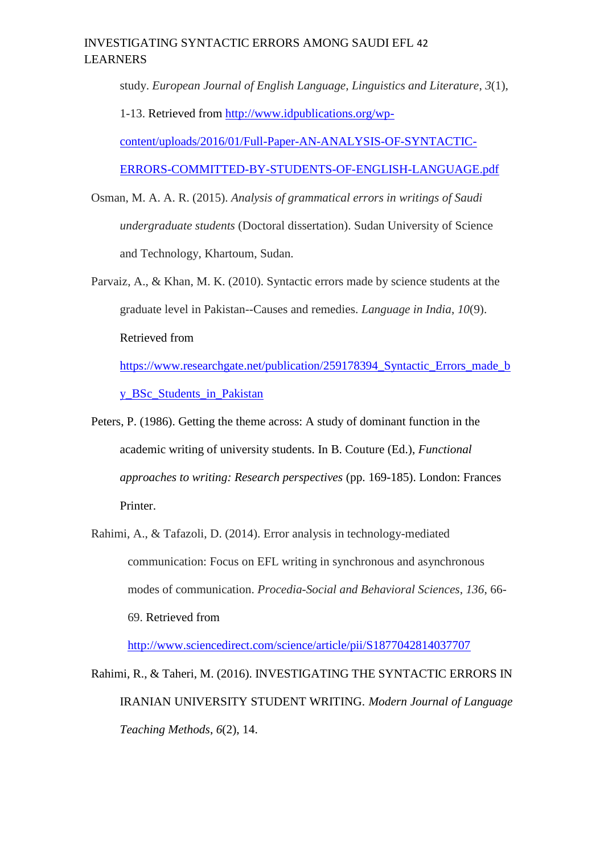## INVESTIGATING SYNTACTIC ERRORS AMONG SAUDI EFL 42 LEARNERS

study. *European Journal of English Language, Linguistics and Literature*, *3*(1),

1-13. Retrieved from [http://www.idpublications.org/wp-](http://www.idpublications.org/wp-content/uploads/2016/01/Full-Paper-AN-ANALYSIS-OF-SYNTACTIC-ERRORS-COMMITTED-BY-STUDENTS-OF-ENGLISH-LANGUAGE.pdf)

[content/uploads/2016/01/Full-Paper-AN-ANALYSIS-OF-SYNTACTIC-](http://www.idpublications.org/wp-content/uploads/2016/01/Full-Paper-AN-ANALYSIS-OF-SYNTACTIC-ERRORS-COMMITTED-BY-STUDENTS-OF-ENGLISH-LANGUAGE.pdf)

[ERRORS-COMMITTED-BY-STUDENTS-OF-ENGLISH-LANGUAGE.pdf](http://www.idpublications.org/wp-content/uploads/2016/01/Full-Paper-AN-ANALYSIS-OF-SYNTACTIC-ERRORS-COMMITTED-BY-STUDENTS-OF-ENGLISH-LANGUAGE.pdf)

- Osman, M. A. A. R. (2015). *Analysis of grammatical errors in writings of Saudi undergraduate students* (Doctoral dissertation). Sudan University of Science and Technology, Khartoum, Sudan.
- Parvaiz, A., & Khan, M. K. (2010). Syntactic errors made by science students at the graduate level in Pakistan--Causes and remedies. *Language in India*, *10*(9). Retrieved from [https://www.researchgate.net/publication/259178394\\_Syntactic\\_Errors\\_made\\_b](https://www.researchgate.net/publication/259178394_Syntactic_Errors_made_by_BSc_Students_in_Pakistan)

[y\\_BSc\\_Students\\_in\\_Pakistan](https://www.researchgate.net/publication/259178394_Syntactic_Errors_made_by_BSc_Students_in_Pakistan)

- Peters, P. (1986). Getting the theme across: A study of dominant function in the academic writing of university students. In B. Couture (Ed.), *Functional approaches to writing: Research perspectives* (pp. 169-185). London: Frances Printer.
- Rahimi, A., & Tafazoli, D. (2014). Error analysis in technology-mediated communication: Focus on EFL writing in synchronous and asynchronous modes of communication. *Procedia-Social and Behavioral Sciences*, *136*, 66- 69. Retrieved from

<http://www.sciencedirect.com/science/article/pii/S1877042814037707>

Rahimi, R., & Taheri, M. (2016). INVESTIGATING THE SYNTACTIC ERRORS IN IRANIAN UNIVERSITY STUDENT WRITING. *Modern Journal of Language Teaching Methods*, *6*(2), 14.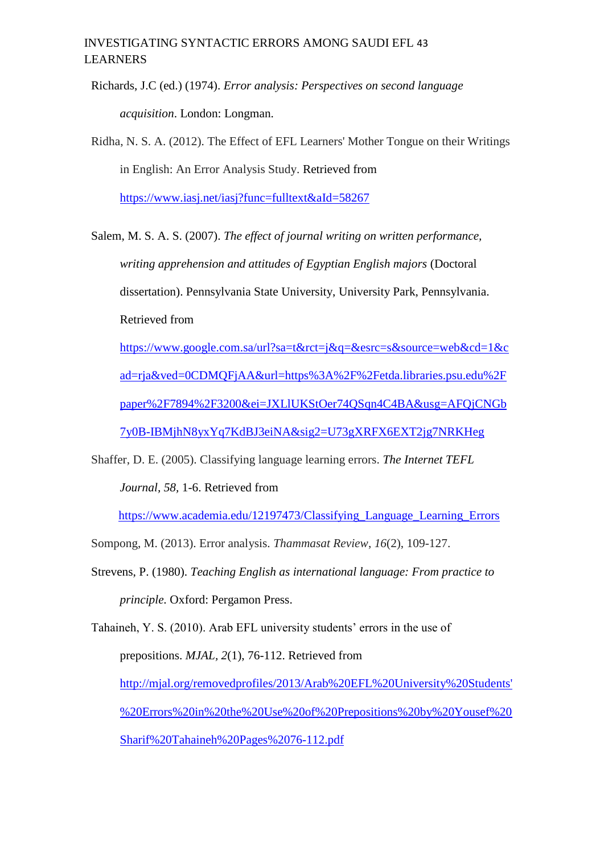## INVESTIGATING SYNTACTIC ERRORS AMONG SAUDI EFL 43 LEARNERS

Richards, J.C (ed.) (1974). *Error analysis: Perspectives on second language acquisition*. London: Longman.

Ridha, N. S. A. (2012). The Effect of EFL Learners' Mother Tongue on their Writings in English: An Error Analysis Study. Retrieved from <https://www.iasj.net/iasj?func=fulltext&aId=58267>

Salem, M. S. A. S. (2007). *The effect of journal writing on written performance, writing apprehension and attitudes of Egyptian English majors* (Doctoral dissertation). Pennsylvania State University, University Park, Pennsylvania. Retrieved from

[https://www.google.com.sa/url?sa=t&rct=j&q=&esrc=s&source=web&cd=1&c](https://www.google.com.sa/url?sa=t&rct=j&q=&esrc=s&source=web&cd=1&cad=rja&ved=0CDMQFjAA&url=https%3A%2F%2Fetda.libraries.psu.edu%2Fpaper%2F7894%2F3200&ei=JXLlUKStOer74QSqn4C4BA&usg=AFQjCNGb7y0B-IBMjhN8yxYq7KdBJ3eiNA&sig2=U73gXRFX6EXT2jg7NRKHeg.%20) [ad=rja&ved=0CDMQFjAA&url=https%3A%2F%2Fetda.libraries.psu.edu%2F](https://www.google.com.sa/url?sa=t&rct=j&q=&esrc=s&source=web&cd=1&cad=rja&ved=0CDMQFjAA&url=https%3A%2F%2Fetda.libraries.psu.edu%2Fpaper%2F7894%2F3200&ei=JXLlUKStOer74QSqn4C4BA&usg=AFQjCNGb7y0B-IBMjhN8yxYq7KdBJ3eiNA&sig2=U73gXRFX6EXT2jg7NRKHeg.%20) [paper%2F7894%2F3200&ei=JXLlUKStOer74QSqn4C4BA&usg=AFQjCNGb](https://www.google.com.sa/url?sa=t&rct=j&q=&esrc=s&source=web&cd=1&cad=rja&ved=0CDMQFjAA&url=https%3A%2F%2Fetda.libraries.psu.edu%2Fpaper%2F7894%2F3200&ei=JXLlUKStOer74QSqn4C4BA&usg=AFQjCNGb7y0B-IBMjhN8yxYq7KdBJ3eiNA&sig2=U73gXRFX6EXT2jg7NRKHeg.%20) [7y0B-IBMjhN8yxYq7KdBJ3eiNA&sig2=U73gXRFX6EXT2jg7NRKHeg](https://www.google.com.sa/url?sa=t&rct=j&q=&esrc=s&source=web&cd=1&cad=rja&ved=0CDMQFjAA&url=https%3A%2F%2Fetda.libraries.psu.edu%2Fpaper%2F7894%2F3200&ei=JXLlUKStOer74QSqn4C4BA&usg=AFQjCNGb7y0B-IBMjhN8yxYq7KdBJ3eiNA&sig2=U73gXRFX6EXT2jg7NRKHeg.%20)

Shaffer, D. E. (2005). Classifying language learning errors. *The Internet TEFL* 

*Journal, 58,* 1-6. Retrieved from

https://www.academia.edu/12197473/Classifying Language Learning Errors

Sompong, M. (2013). Error analysis. *Thammasat Review*, *16*(2), 109-127.

Strevens, P. (1980). *Teaching English as international language: From practice to principle.* Oxford: Pergamon Press.

Tahaineh, Y. S. (2010). Arab EFL university students' errors in the use of prepositions. *MJAL, 2*(1), 76-112. Retrieved from [http://mjal.org/removedprofiles/2013/Arab%20EFL%20University%20Students'](http://mjal.org/removedprofiles/2013/Arab%20EFL%20University%20Students) [%20Errors%20in%20the%20Use%20of%20Prepositions%20by%20Yousef%20](http://mjal.org/removedprofiles/2013/Arab%20EFL%20University%20Students) [Sharif%20Tahaineh%20Pages%2076-112.pdf](http://mjal.org/removedprofiles/2013/Arab%20EFL%20University%20Students)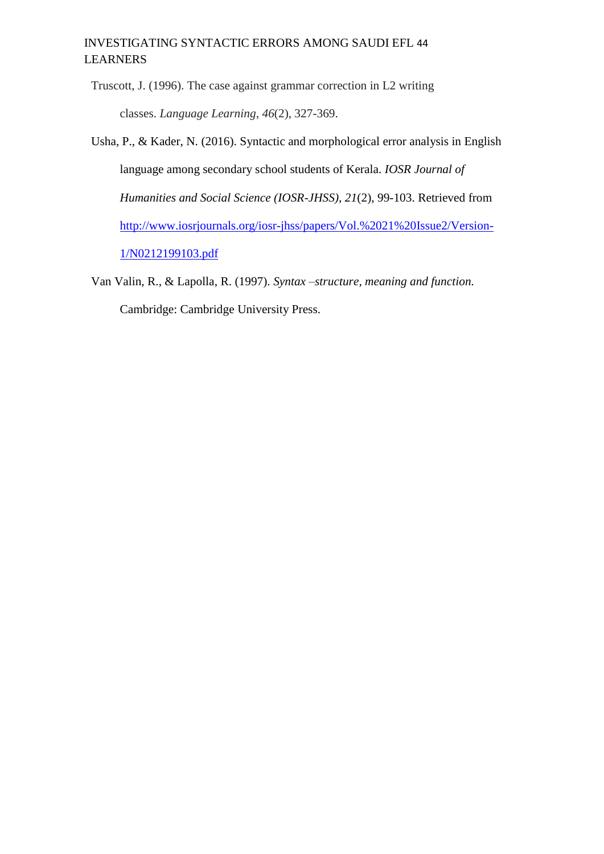## INVESTIGATING SYNTACTIC ERRORS AMONG SAUDI EFL 44 LEARNERS

Truscott, J. (1996). The case against grammar correction in L2 writing classes. *Language Learning*, *46*(2), 327-369.

- Usha, P., & Kader, N. (2016). Syntactic and morphological error analysis in English language among secondary school students of Kerala. *IOSR Journal of Humanities and Social Science (IOSR-JHSS), 21*(2), 99-103. Retrieved from [http://www.iosrjournals.org/iosr-jhss/papers/Vol.%2021%20Issue2/Version-](http://www.iosrjournals.org/iosr-jhss/papers/Vol.%2021%20Issue2/Version-1/N0212199103.pdf)[1/N0212199103.pdf](http://www.iosrjournals.org/iosr-jhss/papers/Vol.%2021%20Issue2/Version-1/N0212199103.pdf)
- Van Valin, R., & Lapolla, R. (1997). *Syntax –structure, meaning and function.*  Cambridge: Cambridge University Press.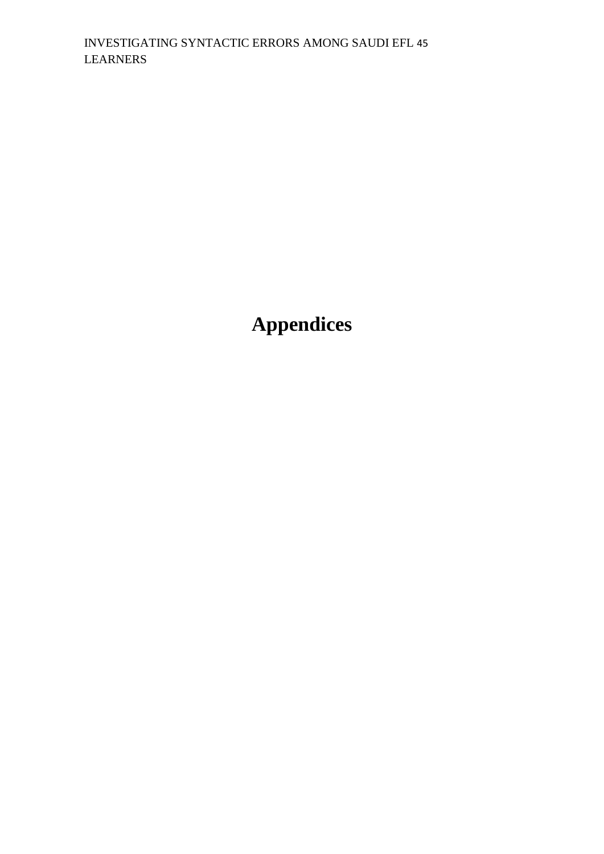**Appendices**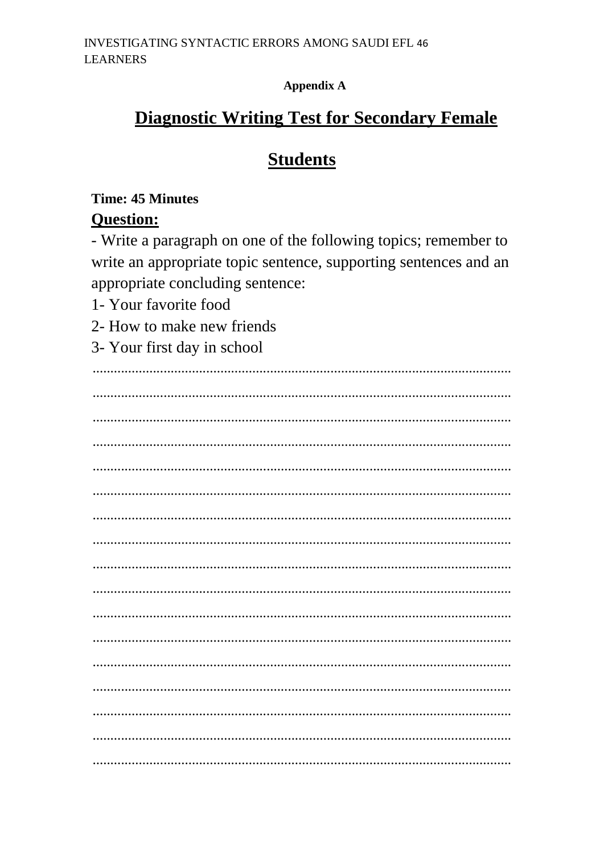**Appendix A** 

# **Diagnostic Writing Test for Secondary Female**

# **Students**

## **Time: 45 Minutes**

# **Question:**

- Write a paragraph on one of the following topics; remember to write an appropriate topic sentence, supporting sentences and an appropriate concluding sentence:

- 1- Your favorite food
- 2- How to make new friends
- 3- Your first day in school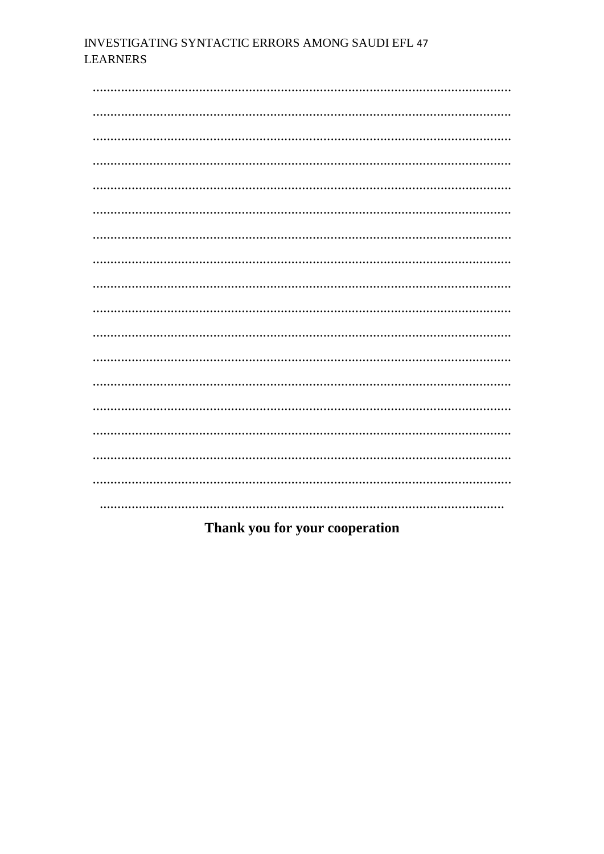## INVESTIGATING SYNTACTIC ERRORS AMONG SAUDI EFL 47 **LEARNERS**

## Thank you for your cooperation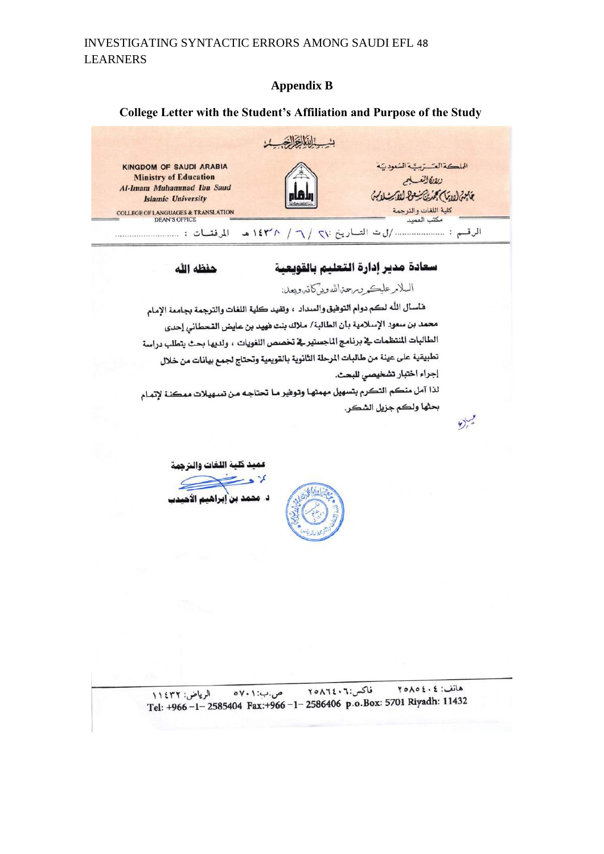#### **Appendix B**

#### **College Letter with the Student's Affiliation and Purpose of the Study**



## سعادة مدير إدارة القعليم بالقويعية

#### حفظه الله

## السلامر عليكر ومرحمتمالله وبركاته وبعد:

هاسأل الله لكم دوام التوفيق والسداد ، وتفيد كلية اللغات والترجمة بجامعة الإمام محمد بن سعود الإسلامية بأن الطالبة/ ملاك بنت فهيد بن عايض القحطاني إحدى الطالبات المنتظمات في برنامج الماجستير في تخصص اللغويات ، ولديها بحث يتطلب دراسة .<br>تطبيقية على عينة من طالبات المرحلة الثانوية بالقويمية وتحتاج لجمع بيانات من خلال إجراء اختبار تشخيصي للبحث.

لذا آمل منكم التكرم بتسهيل مهمتها وتوهير مـا تحتاجـه مـن تسهيلات ممكنـة لإتمـام بحثها ولكم جزيل الشكر .

 $\vee$ 

عميد كلية اللغات والترجمة بر د <u>-</u>

د. محمد بن إبراهيم الاً،

هاتف: ٢٥٨٥٤٠٤ فاكس:٢٠١٦٤٠٦ ص.ب: ۰۱ ه الرياض: ١١٤٣٢ 0 11 11432 Tel: +966 -1- 2585404 Fax:+966 -1- 2586406 p.o.Box: 5701 Riyadh: 11432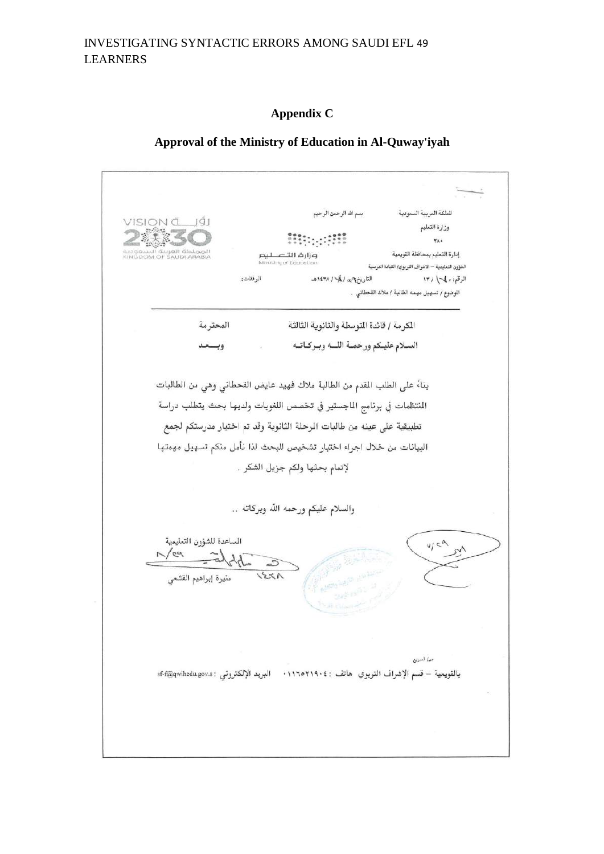## INVESTIGATING SYNTACTIC ERRORS AMONG SAUDI EFL 49 LEARNERS

#### **Appendix C**

#### **Approval of the Ministry of Education in Al-Quway'iyah**

بسم الله الرحمن الرحيم الملكة العربية السعودية VISION Č LIŠI وزارة التعليم  $\forall \lambda$ KINGDOM OF SAUDI ARABIA إدارة التعليم بمحافظة القويعية وزارة التصليم الشؤون التعليمية — الاشراف التربوي/ القيادة الدرسية الموفقات: التاريخ إسمى / 14/ ١٤٣٨هـ الرقم: • 14 / ١٣ الموضوع / تسهيل مهمه الطالبة / ملاك القحطاني .. الكرمة / قائدة التوسطة والثانوية الثالثة المحترمة السلام عليكم ورحمـة اللـــه وبـركــاتــه وبسعد بناءً على الطلب المقدم من الطالبة ملاك فهيد عايض القحطاني وهي من الطالبات المنتظمات في برنامج الماجستير في تخصص اللغويات ولديها بحث يتطلب دراسة تطبيقية على عينه من طالبات الرحلة الثانوية وقد تم اختيار مدرستكم لجمع البيانات من خلال اجراء اختبار تشخيص للبحث لذا نأمل منكم تسهيل مهمتها لإتمام بحثها ولكم جزيل الشكر . والسلام عليكم ورحمه الله وبركاته .. الساعدة للشؤون التعليمية  $\mathbb{Z}/\mathbb{Z}$  $\overline{z}$  $123/$ منيرة إبراهيم القشعى صرا السويع بالقويعية – قسم الإشراف التربوي هاتف : ١١٦٥٢١٩٠٤ · البريد الإلكتروني : sf-f@qwihedu.gov.s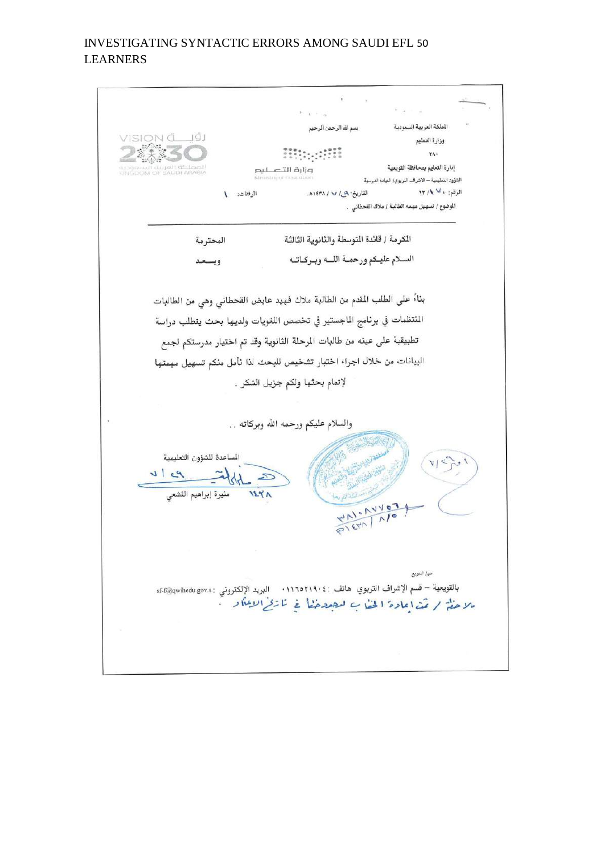## INVESTIGATING SYNTACTIC ERRORS AMONG SAUDI EFL 50 LEARNERS

÷ الملكة العربية السعودية بسم الله الرحمن الرحيم VISION CU ÚJ وزارة التعليم 20011112 YA. iad de Lacil<br>Aubi Arabia إدارة التعليم بمحافظة القويعية وزارة التصليم الشؤون التعليمية — الاشراف التربوي/ القيادة الدرسية الرقع: ، لا ١٣/١ القاريخ: ٩-١٤٣٨ / ١٤٣٨هـ المرفقات: ١ الموضوع / تسهيل مهمه الطالبة / ملاك القحطاني . المكرمة / قائدة التوسطة والثانوية الثالثة المحترمة السلام عليكم ورحمـة اللـــه وبــركــاتــه وبسعد بناءً على الطلب المقدم من الطالبة ملاك فهيد عايض القحطاني وهي من الطالبات المنتظمات في برنامج الماجستير في تخصص اللغويات ولديها بحث يتطلب دراسة تطبيقية على عينه من طالبات المرحلة الثانوية وقد تم اختيار مدرستكم لجمع البيانات من خلال اجراء اختبار تشخيص للبحث لذا نأمل منكم تسهيل مهمتها لإتمام بحثها ولكم جزيل الشكر . والسلام عليكم ورحمه الله وبركاته .. المساعدة للشؤون التعليمية  $=$   $\frac{1}{2}$  $P1$  $\mathbf{z}$  $125A$ منيرة إبراهيم القشعى WN. NVOT PIETA NO ص/ السريع بالقويعية – قسم الإشراف التربوي هاتف : ١١٦٥٢١٩٠٤. البريد الإلكتروني : sf-f@qwihedu.gov.s للاحظ / مَدْ اعادة الخفاب للصدخيًّا في نارِّئي الاعلاً ويُسَمَّى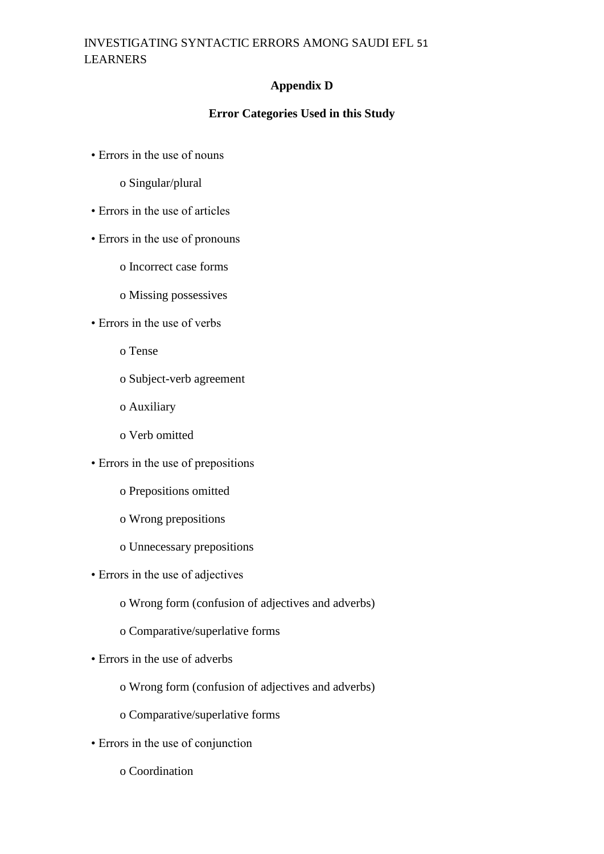## INVESTIGATING SYNTACTIC ERRORS AMONG SAUDI EFL 51 LEARNERS

## **Appendix D**

### **Error Categories Used in this Study**

- Errors in the use of nouns
	- o Singular/plural
- Errors in the use of articles
- Errors in the use of pronouns
	- o Incorrect case forms
	- o Missing possessives
- Errors in the use of verbs
	- o Tense
	- o Subject-verb agreement
	- o Auxiliary
	- o Verb omitted
- Errors in the use of prepositions
	- o Prepositions omitted
	- o Wrong prepositions
	- o Unnecessary prepositions
- Errors in the use of adjectives
	- o Wrong form (confusion of adjectives and adverbs)
	- o Comparative/superlative forms
- Errors in the use of adverbs
	- o Wrong form (confusion of adjectives and adverbs)
	- o Comparative/superlative forms
- Errors in the use of conjunction
	- o Coordination